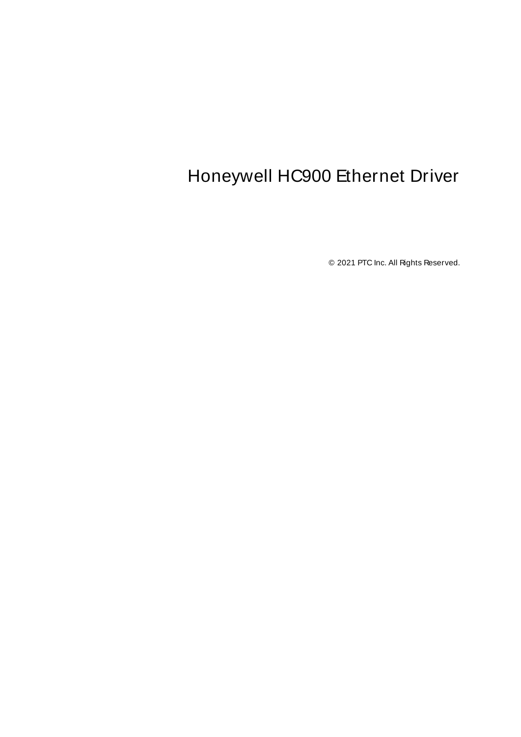# <span id="page-0-0"></span>Honeywell HC900 Ethernet Driver

© 2021 PTC Inc. All Rights Reserved.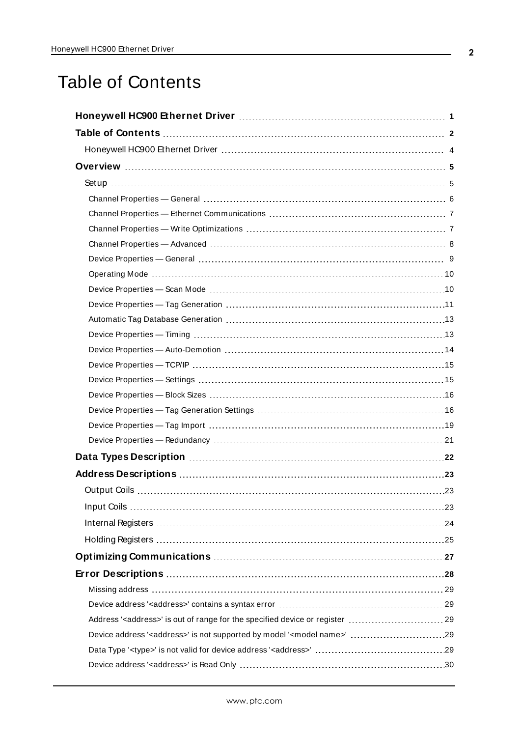# <span id="page-1-0"></span>Table of Contents

| Address ' <address>' is out of range for the specified device or register  29<br/>Device address '<address>' is not supported by model '<model name="">' 29</model></address></address> |  |
|-----------------------------------------------------------------------------------------------------------------------------------------------------------------------------------------|--|
|                                                                                                                                                                                         |  |
|                                                                                                                                                                                         |  |
|                                                                                                                                                                                         |  |
|                                                                                                                                                                                         |  |
|                                                                                                                                                                                         |  |
|                                                                                                                                                                                         |  |
|                                                                                                                                                                                         |  |
|                                                                                                                                                                                         |  |
|                                                                                                                                                                                         |  |
|                                                                                                                                                                                         |  |
|                                                                                                                                                                                         |  |
|                                                                                                                                                                                         |  |
|                                                                                                                                                                                         |  |
|                                                                                                                                                                                         |  |
|                                                                                                                                                                                         |  |
|                                                                                                                                                                                         |  |
|                                                                                                                                                                                         |  |
|                                                                                                                                                                                         |  |
|                                                                                                                                                                                         |  |
|                                                                                                                                                                                         |  |
|                                                                                                                                                                                         |  |
|                                                                                                                                                                                         |  |
|                                                                                                                                                                                         |  |
|                                                                                                                                                                                         |  |
|                                                                                                                                                                                         |  |
|                                                                                                                                                                                         |  |
|                                                                                                                                                                                         |  |
|                                                                                                                                                                                         |  |
|                                                                                                                                                                                         |  |
|                                                                                                                                                                                         |  |
|                                                                                                                                                                                         |  |
|                                                                                                                                                                                         |  |
|                                                                                                                                                                                         |  |
|                                                                                                                                                                                         |  |
|                                                                                                                                                                                         |  |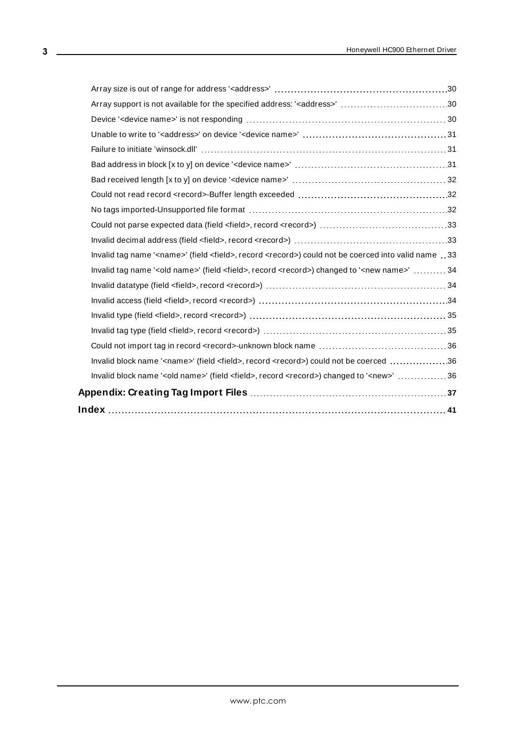| Array support is not available for the specified address: ' <address>' 30</address>                                                                                                                                                             |  |
|-------------------------------------------------------------------------------------------------------------------------------------------------------------------------------------------------------------------------------------------------|--|
|                                                                                                                                                                                                                                                 |  |
|                                                                                                                                                                                                                                                 |  |
|                                                                                                                                                                                                                                                 |  |
|                                                                                                                                                                                                                                                 |  |
|                                                                                                                                                                                                                                                 |  |
|                                                                                                                                                                                                                                                 |  |
|                                                                                                                                                                                                                                                 |  |
|                                                                                                                                                                                                                                                 |  |
|                                                                                                                                                                                                                                                 |  |
| Invalid tag name ' <name>' (field <field>, record <record>) could not be coerced into valid name 33</record></field></name>                                                                                                                     |  |
| Invalid tag name '< old name>' (field < field>, record < record>) changed to ' <new name="">'  34</new>                                                                                                                                         |  |
| Invalid datatype (field <field>, record <record> (accord) (accordina) (accordina) (accordina) (accordina) (accordina) (accordina) (accordina) (accordina) (accordina) (accordina) (accordina) (accordina) (accordina) (accordi</record></field> |  |
|                                                                                                                                                                                                                                                 |  |
|                                                                                                                                                                                                                                                 |  |
|                                                                                                                                                                                                                                                 |  |
|                                                                                                                                                                                                                                                 |  |
| Invalid block name ' <name>' (field <field>, record <record>) could not be coerced 36</record></field></name>                                                                                                                                   |  |
| Invalid block name '< old name>' (field < field>, record < record>) changed to ' <new>' 36</new>                                                                                                                                                |  |
|                                                                                                                                                                                                                                                 |  |
|                                                                                                                                                                                                                                                 |  |
|                                                                                                                                                                                                                                                 |  |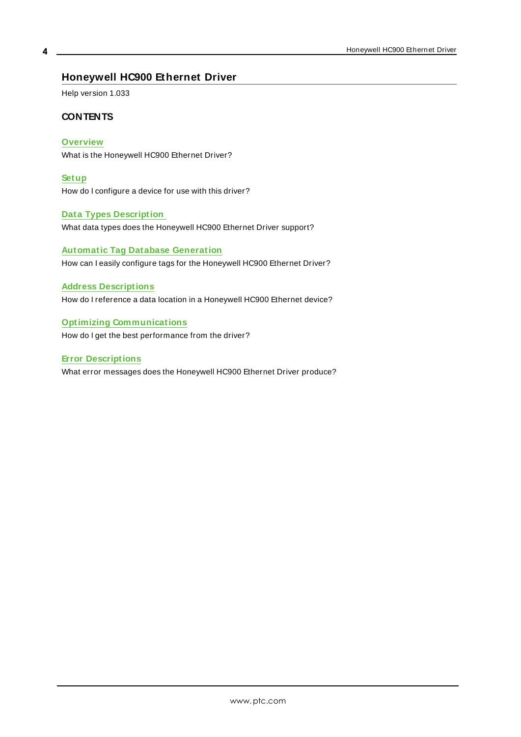## <span id="page-3-0"></span>**Honeywell HC900 Ethernet Driver**

Help version 1.033

#### **CONTENTS**

**[Overview](#page-4-0)**

What is the Honeywell HC900 Ethernet Driver?

**[Setup](#page-4-1)**

How do I configure a device for use with this driver?

#### **Data Types [Description](#page-21-0)**

What data types does the Honeywell HC900 Ethernet Driver support?

## **Automatic Tag Database [Generation](#page-12-0)** How can I easily configure tags for the Honeywell HC900 Ethernet Driver?

#### **Address [Descriptions](#page-22-0)**

How do I reference a data location in a Honeywell HC900 Ethernet device?

#### **Optimizing [Communications](#page-26-0)**

How do I get the best performance from the driver?

#### **Error [Descriptions](#page-27-0)**

What error messages does the Honeywell HC900 Ethernet Driver produce?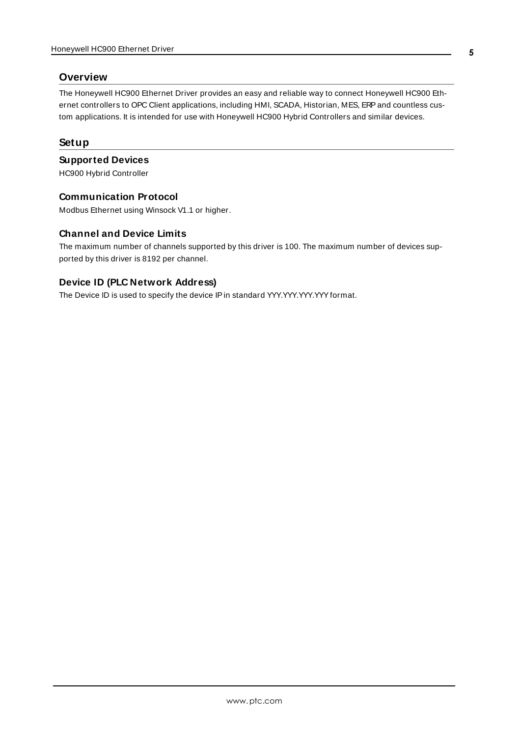### <span id="page-4-0"></span>**Overview**

The Honeywell HC900 Ethernet Driver provides an easy and reliable way to connect Honeywell HC900 Ethernet controllers to OPC Client applications, including HMI, SCADA, Historian, MES, ERPand countless custom applications. It is intended for use with Honeywell HC900 Hybrid Controllers and similar devices.

## <span id="page-4-1"></span>**Setup**

#### **Supported Devices**

HC900 Hybrid Controller

#### **Communication Protocol**

Modbus Ethernet using Winsock V1.1 or higher.

#### **Channel and Device Limits**

The maximum number of channels supported by this driver is 100. The maximum number of devices supported by this driver is 8192 per channel.

## **Device ID (PLC Network Address)**

The Device ID is used to specify the device IP in standard YYY.YYY.YYY.YYY format.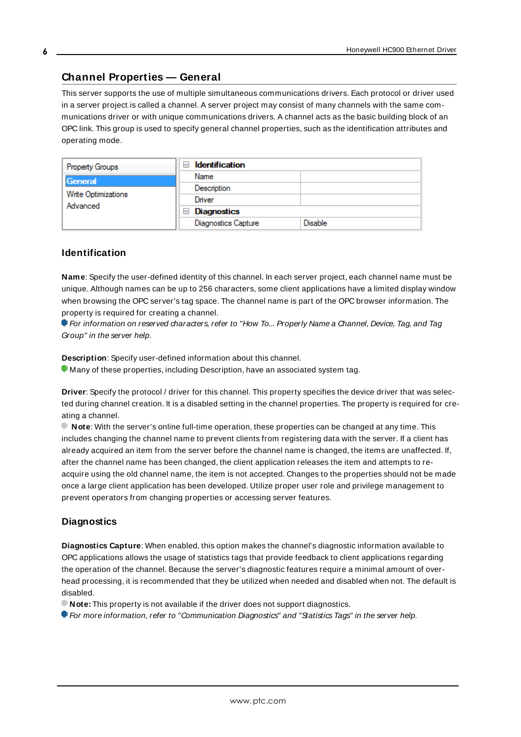#### <span id="page-5-0"></span>**Channel Properties — General**

This server supports the use of multiple simultaneous communications drivers. Each protocol or driver used in a server project is called a channel. A server project may consist of many channels with the same communications driver or with unique communications drivers. A channel acts as the basic building block of an OPC link. This group is used to specify general channel properties, such as the identification attributes and operating mode.

| Property Groups                 | <b>Identification</b><br>-1 |         |
|---------------------------------|-----------------------------|---------|
| General                         | Name                        |         |
| Write Optimizations<br>Advanced | Description                 |         |
|                                 | Driver                      |         |
|                                 | Diagnostics<br>$\equiv$     |         |
|                                 | <b>Diagnostics Capture</b>  | Disable |

#### **Identification**

**Name**: Specify the user-defined identity of this channel. In each server project, each channel name must be unique. Although names can be up to 256 characters, some client applications have a limited display window when browsing the OPC server's tag space. The channel name is part of the OPC browser information. The property is required for creating a channel.

For information on reserved characters, refer to "How To... Properly Name a Channel, Device, Tag, and Tag Group" in the server help.

**Description**: Specify user-defined information about this channel.

Many of these properties, including Description, have an associated system tag.

**Driver**: Specify the protocol / driver for this channel. This property specifies the device driver that was selected during channel creation. It is a disabled setting in the channel properties. The property is required for creating a channel.

**Note**: With the server's online full-time operation, these properties can be changed at any time. This includes changing the channel name to prevent clients from registering data with the server. If a client has already acquired an item from the server before the channel name is changed, the items are unaffected. If, after the channel name has been changed, the client application releases the item and attempts to reacquire using the old channel name, the item is not accepted. Changes to the properties should not be made once a large client application has been developed. Utilize proper user role and privilege management to prevent operators from changing properties or accessing server features.

#### **Diagnostics**

**Diagnostics Capture**: When enabled, this option makes the channel's diagnostic information available to OPC applications allows the usage of statistics tags that provide feedback to client applications regarding the operation of the channel. Because the server's diagnostic features require a minimal amount of overhead processing, it is recommended that they be utilized when needed and disabled when not. The default is disabled.

**Note:** This property is not available if the driver does not support diagnostics.

**• For more information, refer to "Communication Diagnostics" and "Statistics Tags" in the server help.**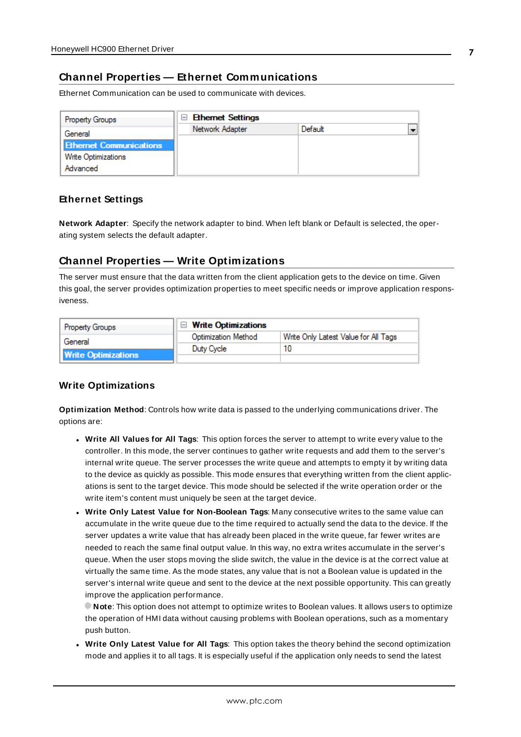## <span id="page-6-0"></span>**Channel Properties — Ethernet Communications**

Ethernet Communication can be used to communicate with devices.

| <b>Property Groups</b>         | <b>Ethernet Settings</b><br>$\equiv$ |         |  |
|--------------------------------|--------------------------------------|---------|--|
| General                        | Network Adapter                      | Default |  |
| <b>Ethernet Communications</b> |                                      |         |  |
| Write Optimizations            |                                      |         |  |
| Advanced                       |                                      |         |  |

#### **Ethernet Settings**

**Network Adapter**: Specify the network adapter to bind. When left blank or Default is selected, the operating system selects the default adapter.

## <span id="page-6-1"></span>**Channel Properties — Write Optimizations**

The server must ensure that the data written from the client application gets to the device on time. Given this goal, the server provides optimization properties to meet specific needs or improve application responsiveness.

| <b>Property Groups</b>     | $\Box$ Write Optimizations |                                      |
|----------------------------|----------------------------|--------------------------------------|
| General                    | <b>Optimization Method</b> | Write Only Latest Value for All Tags |
|                            | Duty Cycle                 |                                      |
| <b>Write Optimizations</b> |                            |                                      |

## **Write Optimizations**

**Optimization Method**: Controls how write data is passed to the underlying communications driver. The options are:

- <sup>l</sup> **Write All Values for All Tags**: This option forces the server to attempt to write every value to the controller. In this mode, the server continues to gather write requests and add them to the server's internal write queue. The server processes the write queue and attempts to empty it by writing data to the device as quickly as possible. This mode ensures that everything written from the client applications is sent to the target device. This mode should be selected if the write operation order or the write item's content must uniquely be seen at the target device.
- <sup>l</sup> **Write Only Latest Value for Non-Boolean Tags**: Many consecutive writes to the same value can accumulate in the write queue due to the time required to actually send the data to the device. If the server updates a write value that has already been placed in the write queue, far fewer writes are needed to reach the same final output value. In this way, no extra writes accumulate in the server's queue. When the user stops moving the slide switch, the value in the device is at the correct value at virtually the same time. As the mode states, any value that is not a Boolean value is updated in the server's internal write queue and sent to the device at the next possible opportunity. This can greatly improve the application performance.

**Note**: This option does not attempt to optimize writes to Boolean values. It allows users to optimize the operation of HMI data without causing problems with Boolean operations, such as a momentary push button.

**• Write Only Latest Value for All Tags**: This option takes the theory behind the second optimization mode and applies it to all tags. It is especially useful if the application only needs to send the latest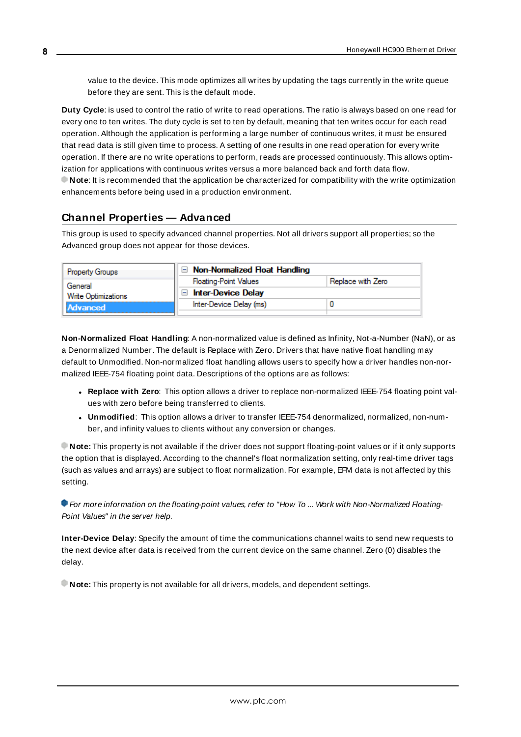value to the device. This mode optimizes all writes by updating the tags currently in the write queue before they are sent. This is the default mode.

**Duty Cycle**: is used to control the ratio of write to read operations. The ratio is always based on one read for every one to ten writes. The duty cycle is set to ten by default, meaning that ten writes occur for each read operation. Although the application is performing a large number of continuous writes, it must be ensured that read data is still given time to process. A setting of one results in one read operation for every write operation. If there are no write operations to perform, reads are processed continuously. This allows optimization for applications with continuous writes versus a more balanced back and forth data flow. **Note**: It is recommended that the application be characterized for compatibility with the write optimization enhancements before being used in a production environment.

## <span id="page-7-0"></span>**Channel Properties — Advanced**

This group is used to specify advanced channel properties. Not all drivers support all properties; so the Advanced group does not appear for those devices.

| <b>Property Groups</b> | $\Box$ Non-Normalized Float Handling |                   |
|------------------------|--------------------------------------|-------------------|
| General                | <b>Floating-Point Values</b>         | Replace with Zero |
| Write Optimizations    | <b>Inter-Device Delay</b><br>$\Box$  |                   |
| Advanced               | Inter-Device Delay (ms)              |                   |
|                        |                                      |                   |

**Non-Normalized Float Handling**: A non-normalized value is defined as Infinity, Not-a-Number (NaN), or as a Denormalized Number. The default is Replace with Zero. Drivers that have native float handling may default to Unmodified. Non-normalized float handling allows users to specify how a driver handles non-normalized IEEE-754 floating point data. Descriptions of the options are as follows:

- <sup>l</sup> **Replace with Zero**: This option allows a driver to replace non-normalized IEEE-754 floating point values with zero before being transferred to clients.
- <sup>l</sup> **Unmodified**: This option allows a driver to transfer IEEE-754 denormalized, normalized, non-number, and infinity values to clients without any conversion or changes.

**Note:** This property is not available if the driver does not support floating-point values or if it only supports the option that is displayed. According to the channel's float normalization setting, only real-time driver tags (such as values and arrays) are subject to float normalization. For example, EFM data is not affected by this setting.

For more information on the floating-point values, refer to "How To ... Work with Non-Normalized Floating-Point Values" in the server help.

**Inter-Device Delay**: Specify the amount of time the communications channel waits to send new requests to the next device after data is received from the current device on the same channel. Zero (0) disables the delay.

**Note:** This property is not available for all drivers, models, and dependent settings.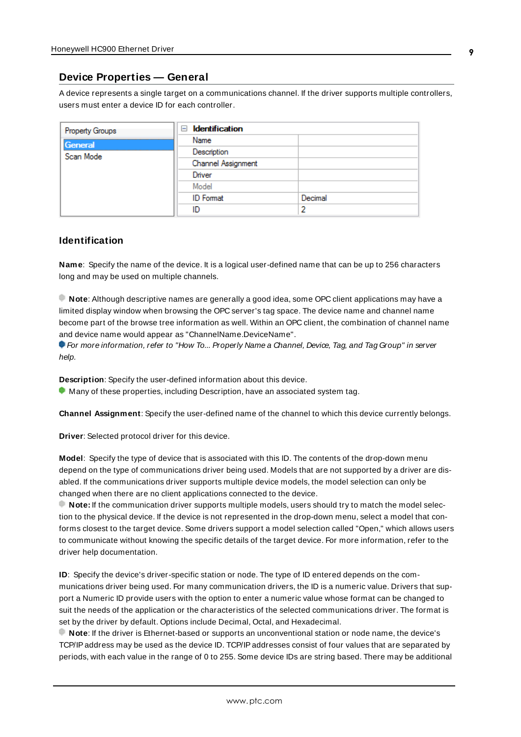#### <span id="page-8-0"></span>**Device Properties — General**

A device represents a single target on a communications channel. If the driver supports multiple controllers, users must enter a device ID for each controller.

| <b>Property Groups</b> | <b>Identification</b><br>- |         |
|------------------------|----------------------------|---------|
| General                | Name                       |         |
| Scan Mode              | Description                |         |
|                        | Channel Assignment         |         |
|                        | Driver                     |         |
|                        | Model                      |         |
|                        | <b>ID</b> Format           | Decimal |
|                        | ID                         |         |

#### <span id="page-8-5"></span>**Identification**

**Name**: Specify the name of the device. It is a logical user-defined name that can be up to 256 characters long and may be used on multiple channels.

**Note**: Although descriptive names are generally a good idea, some OPC client applications may have a limited display window when browsing the OPC server's tag space. The device name and channel name become part of the browse tree information as well. Within an OPC client, the combination of channel name and device name would appear as "ChannelName.DeviceName".

For more information, refer to "How To... Properly Name a Channel, Device, Tag, and Tag Group" in server help.

**Description**: Specify the user-defined information about this device.

<span id="page-8-1"></span>**Many of these properties, including Description, have an associated system tag.** 

<span id="page-8-2"></span>**Channel Assignment**: Specify the user-defined name of the channel to which this device currently belongs.

<span id="page-8-4"></span>**Driver**: Selected protocol driver for this device.

**Model**: Specify the type of device that is associated with this ID. The contents of the drop-down menu depend on the type of communications driver being used. Models that are not supported by a driver are disabled. If the communications driver supports multiple device models, the model selection can only be changed when there are no client applications connected to the device.

**Note:** If the communication driver supports multiple models, users should try to match the model selection to the physical device. If the device is not represented in the drop-down menu, select a model that conforms closest to the target device. Some drivers support a model selection called "Open," which allows users to communicate without knowing the specific details of the target device. For more information, refer to the driver help documentation.

<span id="page-8-3"></span>**ID**: Specify the device's driver-specific station or node. The type of ID entered depends on the communications driver being used. For many communication drivers, the ID is a numeric value. Drivers that support a Numeric ID provide users with the option to enter a numeric value whose format can be changed to suit the needs of the application or the characteristics of the selected communications driver. The format is set by the driver by default. Options include Decimal, Octal, and Hexadecimal.

**Note**: If the driver is Ethernet-based or supports an unconventional station or node name, the device's TCP/IPaddress may be used as the device ID. TCP/IPaddresses consist of four values that are separated by periods, with each value in the range of 0 to 255. Some device IDs are string based. There may be additional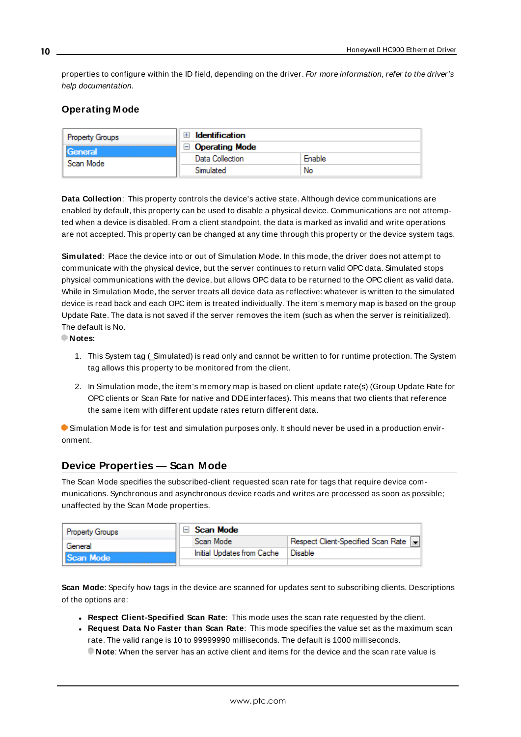properties to configure within the ID field, depending on the driver. For more information, refer to the driver's help documentation.

## <span id="page-9-0"></span>**Operating Mode**

| <b>Property Groups</b> | Identification        |        |
|------------------------|-----------------------|--------|
| General                | $\Box$ Operating Mode |        |
| Scan Mode              | Data Collection       | Enable |
|                        | Simulated             | No     |

<span id="page-9-2"></span>**Data Collection**: This property controls the device's active state. Although device communications are enabled by default, this property can be used to disable a physical device. Communications are not attempted when a device is disabled. From a client standpoint, the data is marked as invalid and write operations are not accepted. This property can be changed at any time through this property or the device system tags.

<span id="page-9-4"></span>**Simulated**: Place the device into or out of Simulation Mode. In this mode, the driver does not attempt to communicate with the physical device, but the server continues to return valid OPC data. Simulated stops physical communications with the device, but allows OPC data to be returned to the OPC client as valid data. While in Simulation Mode, the server treats all device data as reflective: whatever is written to the simulated device is read back and each OPC item is treated individually. The item's memory map is based on the group Update Rate. The data is not saved if the server removes the item (such as when the server is reinitialized). The default is No.

**Notes:**

- 1. This System tag (Simulated) is read only and cannot be written to for runtime protection. The System tag allows this property to be monitored from the client.
- 2. In Simulation mode, the item's memory map is based on client update rate(s) (Group Update Rate for OPC clients or Scan Rate for native and DDEinterfaces). This means that two clients that reference the same item with different update rates return different data.

 Simulation Mode is for test and simulation purposes only. It should never be used in a production environment.

## <span id="page-9-1"></span>**Device Properties — Scan Mode**

The Scan Mode specifies the subscribed-client requested scan rate for tags that require device communications. Synchronous and asynchronous device reads and writes are processed as soon as possible; unaffected by the Scan Mode properties.

| Property Groups | Scan Mode                  |                                      |
|-----------------|----------------------------|--------------------------------------|
| General         | Scan Mode                  | Respect Client-Specified Scan Rate v |
| Scan Mode       | Initial Updates from Cache | Disable                              |
|                 |                            |                                      |

<span id="page-9-3"></span>**Scan Mode**: Specify how tags in the device are scanned for updates sent to subscribing clients. Descriptions of the options are:

- <sup>l</sup> **Respect Client-Specified Scan Rate**: This mode uses the scan rate requested by the client.
- <sup>l</sup> **Request Data No Faster than Scan Rate**: This mode specifies the value set as the maximum scan rate. The valid range is 10 to 99999990 milliseconds. The default is 1000 milliseconds.

**Note**: When the server has an active client and items for the device and the scan rate value is

**10**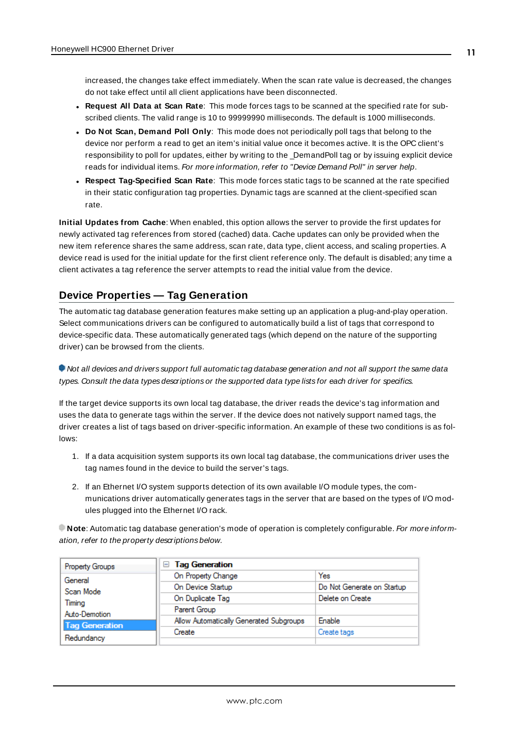increased, the changes take effect immediately. When the scan rate value is decreased, the changes do not take effect until all client applications have been disconnected.

- <sup>l</sup> **Request All Data at Scan Rate**: This mode forces tags to be scanned at the specified rate for subscribed clients. The valid range is 10 to 99999990 milliseconds. The default is 1000 milliseconds.
- <span id="page-10-1"></span><sup>l</sup> **Do Not Scan, Demand Poll Only**: This mode does not periodically poll tags that belong to the device nor perform a read to get an item's initial value once it becomes active. It is the OPC client's responsibility to poll for updates, either by writing to the \_DemandPoll tag or by issuing explicit device reads for individual items. For more information, refer to "Device Demand Poll" in server help.
- <span id="page-10-3"></span><sup>l</sup> **Respect Tag-Specified Scan Rate**: This mode forces static tags to be scanned at the rate specified in their static configuration tag properties. Dynamic tags are scanned at the client-specified scan rate.

<span id="page-10-2"></span>**Initial Updates from Cache**: When enabled, this option allows the server to provide the first updates for newly activated tag references from stored (cached) data. Cache updates can only be provided when the new item reference shares the same address, scan rate, data type, client access, and scaling properties. A device read is used for the initial update for the first client reference only. The default is disabled; any time a client activates a tag reference the server attempts to read the initial value from the device.

## <span id="page-10-0"></span>**Device Properties — Tag Generation**

The automatic tag database generation features make setting up an application a plug-and-play operation. Select communications drivers can be configured to automatically build a list of tags that correspond to device-specific data. These automatically generated tags (which depend on the nature of the supporting driver) can be browsed from the clients.

Not all devices and drivers support full automatic tag database generation and not all support the same data types. Consult the data types descriptions or the supported data type lists for each driver for specifics.

If the target device supports its own local tag database, the driver reads the device's tag information and uses the data to generate tags within the server. If the device does not natively support named tags, the driver creates a list of tags based on driver-specific information. An example of these two conditions is as follows:

- 1. If a data acquisition system supports its own local tag database, the communications driver uses the tag names found in the device to build the server's tags.
- 2. If an Ethernet I/O system supports detection of its own available I/O module types, the communications driver automatically generates tags in the server that are based on the types of I/O modules plugged into the Ethernet I/O rack.

**Note:** Automatic tag database generation's mode of operation is completely configurable. For more information, refer to the property descriptions below.

| Property Groups       | □ Tag Generation                        |                            |
|-----------------------|-----------------------------------------|----------------------------|
| General               | On Property Change                      | Yes                        |
| Scan Mode             | On Device Startup                       | Do Not Generate on Startup |
| Timina                | On Duplicate Tag                        | Delete on Create           |
| Auto-Demotion         | Parent Group                            |                            |
| <b>Tag Generation</b> | Allow Automatically Generated Subgroups | Enable                     |
|                       | Create                                  | Create tags                |
| Redundancy            |                                         |                            |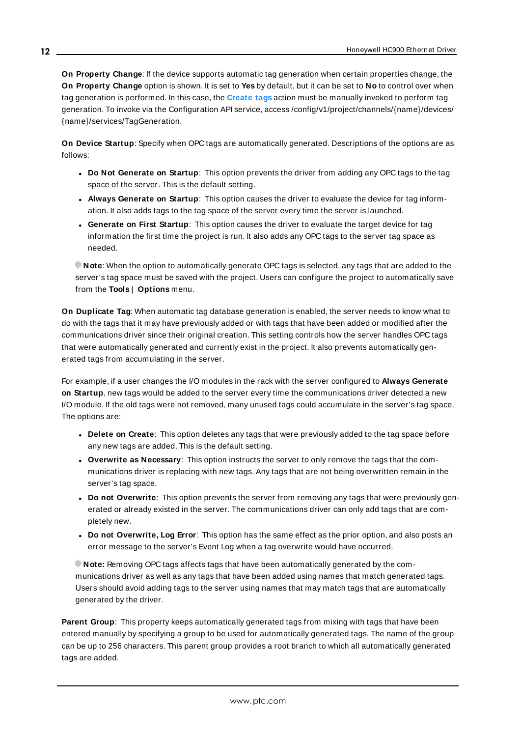<span id="page-11-4"></span>**On Property Change**: If the device supports automatic tag generation when certain properties change, the **On Property Change** option is shown. It is set to **Yes** by default, but it can be set to **No** to control over when tag generation is performed. In this case, the **Create tags** action must be manually invoked to perform tag generation. To invoke via the Configuration API service, access /config/v1/project/channels/{name}/devices/ {name}/services/TagGeneration.

<span id="page-11-2"></span>**On Device Startup**: Specify when OPC tags are automatically generated. Descriptions of the options are as follows:

- <span id="page-11-1"></span><sup>l</sup> **Do Not Generate on Startup**: This option prevents the driver from adding any OPC tags to the tag space of the server. This is the default setting.
- <sup>l</sup> **Always Generate on Startup**: This option causes the driver to evaluate the device for tag information. It also adds tags to the tag space of the server every time the server is launched.
- <sup>l</sup> **Generate on First Startup**: This option causes the driver to evaluate the target device for tag information the first time the project is run. It also adds any OPC tags to the server tag space as needed.

**Note**: When the option to automatically generate OPC tags is selected, any tags that are added to the server's tag space must be saved with the project. Users can configure the project to automatically save from the **Tools** | **Options** menu.

<span id="page-11-3"></span>**On Duplicate Tag**: When automatic tag database generation is enabled, the server needs to know what to do with the tags that it may have previously added or with tags that have been added or modified after the communications driver since their original creation. This setting controls how the server handles OPC tags that were automatically generated and currently exist in the project. It also prevents automatically generated tags from accumulating in the server.

For example, if a user changes the I/O modules in the rack with the server configured to **Always Generate on Startup**, new tags would be added to the server every time the communications driver detected a new I/O module. If the old tags were not removed, many unused tags could accumulate in the server's tag space. The options are:

- <span id="page-11-5"></span><span id="page-11-0"></span>**• Delete on Create**: This option deletes any tags that were previously added to the tag space before any new tags are added. This is the default setting.
- <sup>l</sup> **Overwrite as Necessary**: This option instructs the server to only remove the tags that the communications driver is replacing with new tags. Any tags that are not being overwritten remain in the server's tag space.
- **.** Do not Overwrite: This option prevents the server from removing any tags that were previously generated or already existed in the server. The communications driver can only add tags that are completely new.
- <sup>l</sup> **Do not Overwrite, Log Error**: This option has the same effect as the prior option, and also posts an error message to the server's Event Log when a tag overwrite would have occurred.

**Note:** Removing OPC tags affects tags that have been automatically generated by the communications driver as well as any tags that have been added using names that match generated tags. Users should avoid adding tags to the server using names that may match tags that are automatically generated by the driver.

<span id="page-11-6"></span>**Parent Group**: This property keeps automatically generated tags from mixing with tags that have been entered manually by specifying a group to be used for automatically generated tags. The name of the group can be up to 256 characters. This parent group provides a root branch to which all automatically generated tags are added.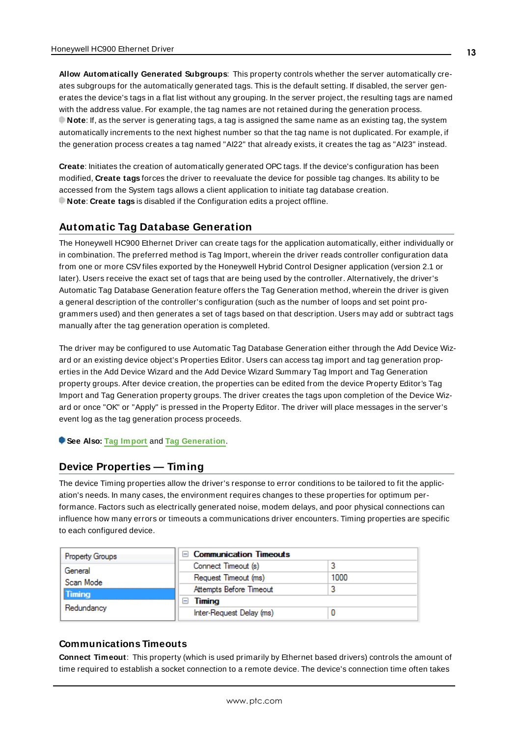<span id="page-12-2"></span>**Allow Automatically Generated Subgroups**: This property controls whether the server automatically creates subgroups for the automatically generated tags. This is the default setting. If disabled, the server generates the device's tags in a flat list without any grouping. In the server project, the resulting tags are named with the address value. For example, the tag names are not retained during the generation process. **Note**: If, as the server is generating tags, a tag is assigned the same name as an existing tag, the system automatically increments to the next highest number so that the tag name is not duplicated. For example, if the generation process creates a tag named "AI22" that already exists, it creates the tag as "AI23" instead.

<span id="page-12-4"></span>**Create**: Initiates the creation of automatically generated OPC tags. If the device's configuration has been modified, **Create tags** forces the driver to reevaluate the device for possible tag changes. Its ability to be accessed from the System tags allows a client application to initiate tag database creation. **Note**: **Create tags** is disabled if the Configuration edits a project offline.

## <span id="page-12-0"></span>**Automatic Tag Database Generation**

The Honeywell HC900 Ethernet Driver can create tags for the application automatically, either individually or in combination. The preferred method is Tag Import, wherein the driver reads controller configuration data from one or more CSVfiles exported by the Honeywell Hybrid Control Designer application (version 2.1 or later). Users receive the exact set of tags that are being used by the controller. Alternatively, the driver's Automatic Tag Database Generation feature offers the Tag Generation method, wherein the driver is given a general description of the controller's configuration (such as the number of loops and set point programmers used) and then generates a set of tags based on that description. Users may add or subtract tags manually after the tag generation operation is completed.

The driver may be configured to use Automatic Tag Database Generation either through the Add Device Wizard or an existing device object's Properties Editor. Users can access tag import and tag generation properties in the Add Device Wizard and the Add Device Wizard Summary Tag Import and Tag Generation property groups. After device creation, the properties can be edited from the device Property Editor's Tag Import and Tag Generation property groups. The driver creates the tags upon completion of the Device Wizard or once "OK" or "Apply" is pressed in the Property Editor. The driver will place messages in the server's event log as the tag generation process proceeds.

<span id="page-12-1"></span>**See Also: Tag [Import](#page-18-0)** and **Tag [Generation](#page-15-1)**.

#### <span id="page-12-3"></span>**Device Properties — Timing**

The device Timing properties allow the driver's response to error conditions to be tailored to fit the application's needs. In many cases, the environment requires changes to these properties for optimum performance. Factors such as electrically generated noise, modem delays, and poor physical connections can influence how many errors or timeouts a communications driver encounters. Timing properties are specific to each configured device.

| <b>Property Groups</b> | <b>Communication Timeouts</b> |      |
|------------------------|-------------------------------|------|
| General                | Connect Timeout (s)           |      |
| Scan Mode              | Request Timeout (ms)          | 1000 |
| <b>Timing</b>          | Attempts Before Timeout       |      |
| Redundancy             | Timing                        |      |
|                        | Inter-Request Delay (ms)      |      |

#### **Communications Timeouts**

**Connect Timeout**: This property (which is used primarily by Ethernet based drivers) controls the amount of time required to establish a socket connection to a remote device. The device's connection time often takes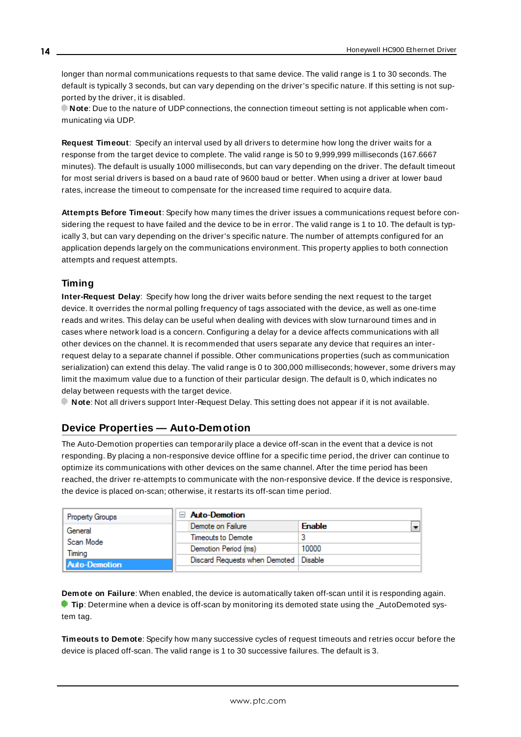<span id="page-13-2"></span>longer than normal communications requests to that same device. The valid range is 1 to 30 seconds. The default is typically 3 seconds, but can vary depending on the driver's specific nature. If this setting is not supported by the driver, it is disabled.

**Note**: Due to the nature of UDPconnections, the connection timeout setting is not applicable when communicating via UDP.

<span id="page-13-5"></span>**Request Timeout**: Specify an interval used by all drivers to determine how long the driver waits for a response from the target device to complete. The valid range is 50 to 9,999,999 milliseconds (167.6667 minutes). The default is usually 1000 milliseconds, but can vary depending on the driver. The default timeout for most serial drivers is based on a baud rate of 9600 baud or better. When using a driver at lower baud rates, increase the timeout to compensate for the increased time required to acquire data.

<span id="page-13-1"></span>**Attempts Before Timeout**: Specify how many times the driver issues a communications request before considering the request to have failed and the device to be in error. The valid range is 1 to 10. The default is typically 3, but can vary depending on the driver's specific nature. The number of attempts configured for an application depends largely on the communications environment. This property applies to both connection attempts and request attempts.

## <span id="page-13-4"></span>**Timing**

**Inter-Request Delay**: Specify how long the driver waits before sending the next request to the target device. It overrides the normal polling frequency of tags associated with the device, as well as one-time reads and writes. This delay can be useful when dealing with devices with slow turnaround times and in cases where network load is a concern. Configuring a delay for a device affects communications with all other devices on the channel. It is recommended that users separate any device that requires an interrequest delay to a separate channel if possible. Other communications properties (such as communication serialization) can extend this delay. The valid range is 0 to 300,000 milliseconds; however, some drivers may limit the maximum value due to a function of their particular design. The default is 0, which indicates no delay between requests with the target device.

<span id="page-13-0"></span>**Note**: Not all drivers support Inter-Request Delay. This setting does not appear if it is not available.

## **Device Properties — Auto-Demotion**

The Auto-Demotion properties can temporarily place a device off-scan in the event that a device is not responding. By placing a non-responsive device offline for a specific time period, the driver can continue to optimize its communications with other devices on the same channel. After the time period has been reached, the driver re-attempts to communicate with the non-responsive device. If the device is responsive, the device is placed on-scan; otherwise, it restarts its off-scan time period.

| <b>Property Groups</b> | $\boxminus$ Auto-Demotion               |               |
|------------------------|-----------------------------------------|---------------|
| General                | Demote on Failure                       | <b>Enable</b> |
| Scan Mode              | Timeouts to Demote                      |               |
| Timina                 | Demotion Period (ms)                    | 10000         |
| <b>Auto-Demotion</b>   | Discard Requests when Demoted   Disable |               |
|                        |                                         |               |

<span id="page-13-3"></span>**Demote on Failure**: When enabled, the device is automatically taken off-scan until it is responding again. **Tip:** Determine when a device is off-scan by monitoring its demoted state using the \_AutoDemoted system tag.

<span id="page-13-6"></span>**Timeouts to Demote**: Specify how many successive cycles of request timeouts and retries occur before the device is placed off-scan. The valid range is 1 to 30 successive failures. The default is 3.

**14**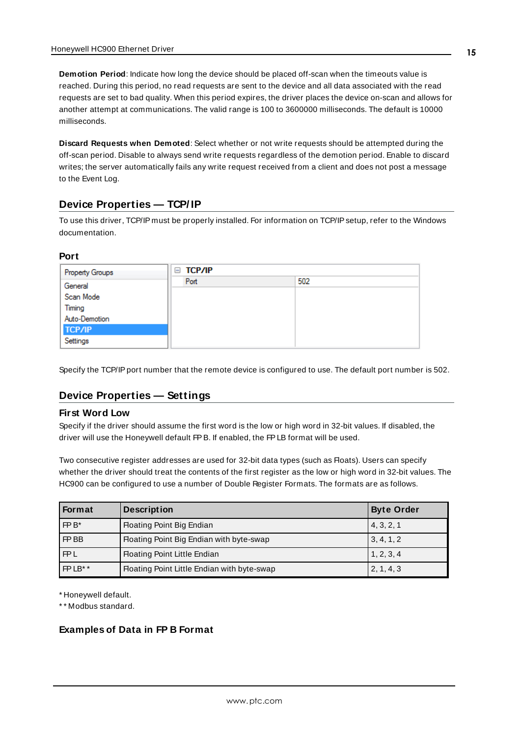<span id="page-14-2"></span>**Demotion Period**: Indicate how long the device should be placed off-scan when the timeouts value is reached. During this period, no read requests are sent to the device and all data associated with the read requests are set to bad quality. When this period expires, the driver places the device on-scan and allows for another attempt at communications. The valid range is 100 to 3600000 milliseconds. The default is 10000 milliseconds.

<span id="page-14-3"></span>**Discard Requests when Demoted**: Select whether or not write requests should be attempted during the off-scan period. Disable to always send write requests regardless of the demotion period. Enable to discard writes; the server automatically fails any write request received from a client and does not post a message to the Event Log.

## <span id="page-14-0"></span>**Device Properties — TCP/ IP**

To use this driver, TCP/IP must be properly installed. For information on TCP/IPsetup, refer to the Windows documentation.

#### **Port**

| <b>Property Groups</b> | $\equiv$ TCP/IP |     |
|------------------------|-----------------|-----|
| General                | Port            | 502 |
| Scan Mode              |                 |     |
| Timing                 |                 |     |
| Auto-Demotion          |                 |     |
| <b>TCP/IP</b>          |                 |     |
| Settings               |                 |     |

<span id="page-14-1"></span>Specify the TCP/IP port number that the remote device is configured to use. The default port number is 502.

## **Device Properties — Settings**

#### **First Word Low**

Specify if the driver should assume the first word is the low or high word in 32-bit values. If disabled, the driver will use the Honeywell default FPB. If enabled, the FPLB format will be used.

Two consecutive register addresses are used for 32-bit data types (such as Floats). Users can specify whether the driver should treat the contents of the first register as the low or high word in 32-bit values. The HC900 can be configured to use a number of Double Register Formats. The formats are as follows.

| Format     | <b>Description</b>                          | <b>Byte Order</b> |
|------------|---------------------------------------------|-------------------|
| $FPB*$     | Floating Point Big Endian                   | 4, 3, 2, 1        |
| FP BB      | Floating Point Big Endian with byte-swap    | 3, 4, 1, 2        |
| <b>FPL</b> | Floating Point Little Endian                | 1, 2, 3, 4        |
| FPLB**     | Floating Point Little Endian with byte-swap | 2, 1, 4, 3        |

\* Honeywell default.

\* \* Modbus standard.

#### **Examples of Data in FP B Format**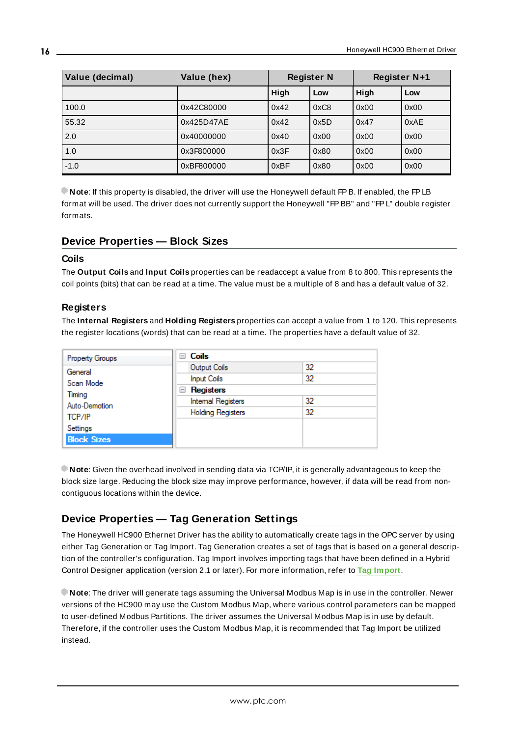| Value (decimal) | Value (hex) | <b>Register N</b> |      | Register N+1 |      |
|-----------------|-------------|-------------------|------|--------------|------|
|                 |             | High              | Low  | High         | Low  |
| 100.0           | 0x42C80000  | 0x42              | 0xC8 | 0x00         | 0x00 |
| 55.32           | 0x425D47AE  | 0x42              | 0x5D | 0x47         | 0xAE |
| 2.0             | 0x40000000  | 0x40              | 0x00 | 0x00         | 0x00 |
| 1.0             | 0x3F800000  | 0x3F              | 0x80 | 0x00         | 0x00 |
| $-1.0$          | 0xBF800000  | 0xBF              | 0x80 | 0x00         | 0x00 |

**Note**: If this property is disabled, the driver will use the Honeywell default FPB. If enabled, the FPLB format will be used. The driver does not currently support the Honeywell "FPBB" and "FPL" double register formats.

## <span id="page-15-2"></span><span id="page-15-0"></span>**Device Properties — Block Sizes**

## **Coils**

The **Output Coils** and **Input Coils** properties can be readaccept a value from 8 to 800. This represents the coil points (bits) that can be read at a time. The value must be a multiple of 8 and has a default value of 32.

#### <span id="page-15-3"></span>**Registers**

The **Internal Registers** and **Holding Registers** properties can accept a value from 1 to 120. This represents the register locations (words) that can be read at a time. The properties have a default value of 32.

| <b>Property Groups</b>            | Coils<br>н                |    |  |
|-----------------------------------|---------------------------|----|--|
| General                           | Output Coils              | 32 |  |
| Scan Mode                         | <b>Input Coils</b>        | 32 |  |
| Timina<br>Auto-Demotion<br>TCP/IP | Registers<br>$=$          |    |  |
|                                   | <b>Internal Registers</b> | 32 |  |
|                                   | <b>Holding Registers</b>  | 32 |  |
| Settings                          |                           |    |  |
| <b>Block Sizes</b>                |                           |    |  |

**Note**: Given the overhead involved in sending data via TCP/IP, it is generally advantageous to keep the block size large. Reducing the block size may improve performance, however, if data will be read from noncontiguous locations within the device.

## <span id="page-15-1"></span>**Device Properties — Tag Generation Settings**

The Honeywell HC900 Ethernet Driver has the ability to automatically create tags in the OPC server by using either Tag Generation or Tag Import. Tag Generation creates a set of tags that is based on a general description of the controller's configuration. Tag Import involves importing tags that have been defined in a Hybrid Control Designer application (version 2.1 or later). For more information, refer to **Tag [Import](#page-18-0)**.

**Note**: The driver will generate tags assuming the Universal Modbus Map is in use in the controller. Newer versions of the HC900 may use the Custom Modbus Map, where various control parameters can be mapped to user-defined Modbus Partitions. The driver assumes the Universal Modbus Map is in use by default. Therefore, if the controller uses the Custom Modbus Map, it is recommended that Tag Import be utilized instead.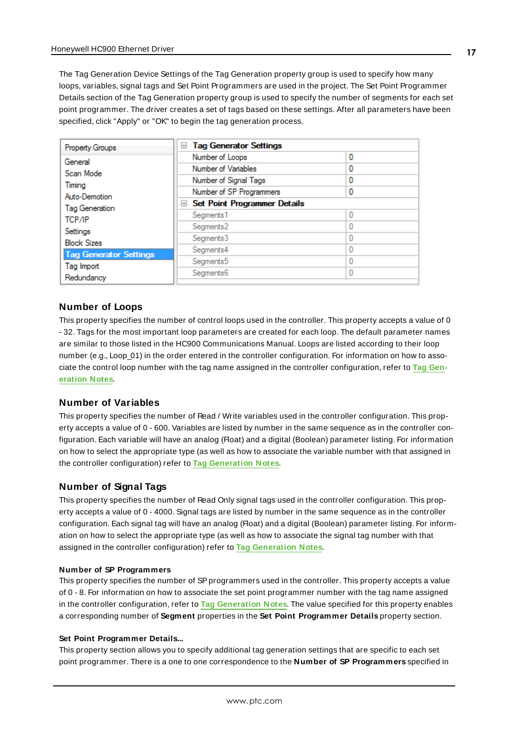The Tag Generation Device Settings of the Tag Generation property group is used to specify how many loops, variables, signal tags and Set Point Programmers are used in the project. The Set Point Programmer Details section of the Tag Generation property group is used to specify the number of segments for each set point programmer. The driver creates a set of tags based on these settings. After all parameters have been specified, click "Apply" or "OK" to begin the tag generation process.

| <b>Property Groups</b>                                          | □ Tag Generator Settings            |   |  |
|-----------------------------------------------------------------|-------------------------------------|---|--|
| General                                                         | Number of Loops                     | 0 |  |
| Scan Mode                                                       | Number of Variables                 | 0 |  |
| Timing                                                          | Number of Signal Tags               | 0 |  |
| Auto-Demotion                                                   | Number of SP Programmers            | 0 |  |
|                                                                 | $\Box$ Set Point Programmer Details |   |  |
| <b>Tag Generation</b><br><b>TCP/IP</b>                          | Segments <sub>1</sub>               |   |  |
| Settings<br><b>Block Sizes</b><br><b>Tag Generator Settings</b> | Seaments <sub>2</sub>               |   |  |
|                                                                 | Segments3                           |   |  |
|                                                                 | Segments4                           |   |  |
|                                                                 | Segments <sub>5</sub>               | Ω |  |
| Tag Import                                                      | Segments <sub>6</sub>               |   |  |
| Redundancy                                                      |                                     |   |  |

#### **Number of Loops**

This property specifies the number of control loops used in the controller. This property accepts a value of 0 - 32. Tags for the most important loop parameters are created for each loop. The default parameter names are similar to those listed in the HC900 Communications Manual. Loops are listed according to their loop number (e.g., Loop\_01) in the order entered in the controller configuration. For information on how to associate the control loop number with the tag name assigned in the controller configuration, refer to **Tag [Gen](#page-17-0)[eration](#page-17-0) Notes**.

#### **Number of Variables**

This property specifies the number of Read / Write variables used in the controller configuration. This property accepts a value of 0 - 600. Variables are listed by number in the same sequence as in the controller configuration. Each variable will have an analog (Float) and a digital (Boolean) parameter listing. For information on how to select the appropriate type (as well as how to associate the variable number with that assigned in the controller configuration) refer to **Tag [Generation](#page-17-0) Notes**.

#### **Number of Signal Tags**

This property specifies the number of Read Only signal tags used in the controller configuration. This property accepts a value of 0 - 4000. Signal tags are listed by number in the same sequence as in the controller configuration. Each signal tag will have an analog (Float) and a digital (Boolean) parameter listing. For information on how to select the appropriate type (as well as how to associate the signal tag number with that assigned in the controller configuration) refer to **Tag [Generation](#page-17-0) Notes**.

#### **Number of SP Programmers**

This property specifies the number of SPprogrammers used in the controller. This property accepts a value of 0 - 8. For information on how to associate the set point programmer number with the tag name assigned in the controller configuration, refer to **Tag [Generation](#page-17-0) Notes**. The value specified for this property enables a corresponding number of **Segment** properties in the **Set Point Programmer Details** property section.

#### **Set Point Programmer Details...**

This property section allows you to specify additional tag generation settings that are specific to each set point programmer. There is a one to one correspondence to the **Number of SP Programmers** specified in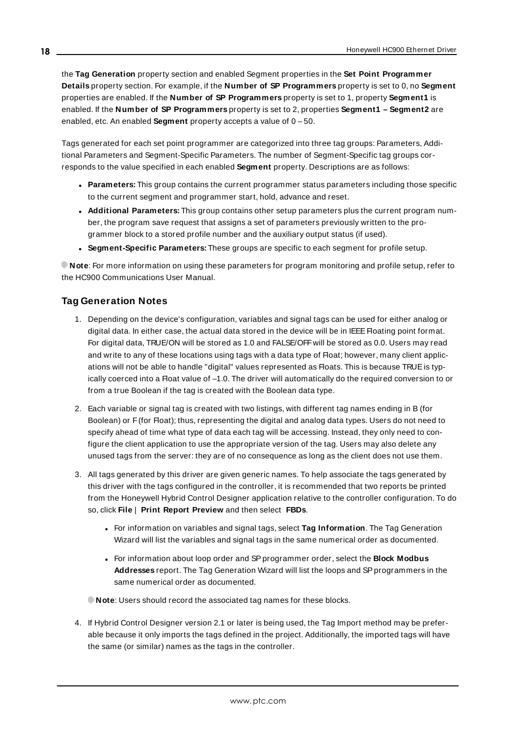the **Tag Generation** property section and enabled Segment properties in the **Set Point Programmer Details** property section. For example, if the **Number of SP Programmers** property is set to 0, no **Segment** properties are enabled. If the **Number of SP Programmers** property is set to 1, property **Segment1** is enabled. If the **Number of SP Programmers** property is set to 2, properties **Segment1 – Segment2** are enabled, etc. An enabled **Segment** property accepts a value of 0 – 50.

Tags generated for each set point programmer are categorized into three tag groups: Parameters, Additional Parameters and Segment-Specific Parameters. The number of Segment-Specific tag groups corresponds to the value specified in each enabled **Segment** property. Descriptions are as follows:

- **Parameters:** This group contains the current programmer status parameters including those specific to the current segment and programmer start, hold, advance and reset.
- <sup>l</sup> **Additional Parameters:** This group contains other setup parameters plus the current program number, the program save request that assigns a set of parameters previously written to the programmer block to a stored profile number and the auxiliary output status (if used).
- <sup>l</sup> **Segment-Specific Parameters:** These groups are specific to each segment for profile setup.

<span id="page-17-0"></span>**Note**: For more information on using these parameters for program monitoring and profile setup, refer to the HC900 Communications User Manual.

## **Tag Generation Notes**

- 1. Depending on the device's configuration, variables and signal tags can be used for either analog or digital data. In either case, the actual data stored in the device will be in IEEE Floating point format. For digital data, TRUE/ON will be stored as 1.0 and FALSE/OFFwill be stored as 0.0. Users may read and write to any of these locations using tags with a data type of Float; however, many client applications will not be able to handle "digital" values represented as Floats. This is because TRUE is typically coerced into a Float value of –1.0. The driver will automatically do the required conversion to or from a true Boolean if the tag is created with the Boolean data type.
- 2. Each variable or signal tag is created with two listings, with different tag names ending in B (for Boolean) or F(for Float); thus, representing the digital and analog data types. Users do not need to specify ahead of time what type of data each tag will be accessing. Instead, they only need to configure the client application to use the appropriate version of the tag. Users may also delete any unused tags from the server: they are of no consequence as long as the client does not use them.
- 3. All tags generated by this driver are given generic names. To help associate the tags generated by this driver with the tags configured in the controller, it is recommended that two reports be printed from the Honeywell Hybrid Control Designer application relative to the controller configuration. To do so, click **File** | **Print Report Preview** and then select **FBDs**.
	- <sup>l</sup> For information on variables and signal tags, select **Tag Information**. The Tag Generation Wizard will list the variables and signal tags in the same numerical order as documented.
	- <sup>l</sup> For information about loop order and SPprogrammer order, select the **Block Modbus Addresses** report. The Tag Generation Wizard will list the loops and SPprogrammers in the same numerical order as documented.

**Note:** Users should record the associated tag names for these blocks.

4. If Hybrid Control Designer version 2.1 or later is being used, the Tag Import method may be preferable because it only imports the tags defined in the project. Additionally, the imported tags will have the same (or similar) names as the tags in the controller.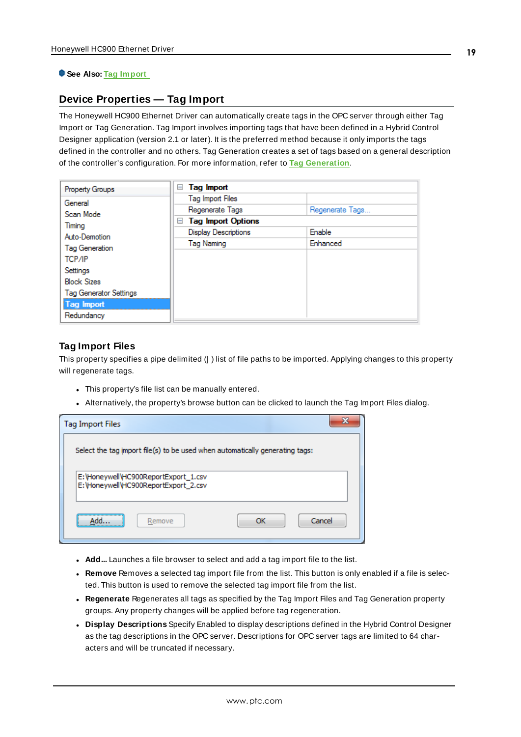#### <span id="page-18-0"></span>**See Also: Tag [Import](#page-18-0)**

## **Device Properties — Tag Import**

The Honeywell HC900 Ethernet Driver can automatically create tags in the OPC server through either Tag Import or Tag Generation. Tag Import involves importing tags that have been defined in a Hybrid Control Designer application (version 2.1 or later). It is the preferred method because it only imports the tags defined in the controller and no others. Tag Generation creates a set of tags based on a general description of the controller's configuration. For more information, refer to **Tag [Generation](#page-15-1)**.

| Property Groups               | Tag Import<br>ь                |                 |  |
|-------------------------------|--------------------------------|-----------------|--|
| General                       | Tag Import Files               |                 |  |
| Scan Mode                     | Regenerate Tags                | Regenerate Tags |  |
| Timina                        | <b>Tag Import Options</b><br>ь |                 |  |
| Auto-Demotion                 | <b>Display Descriptions</b>    | Enable          |  |
| Tag Generation                | Tag Naming                     | Enhanced        |  |
| TCP/IP                        |                                |                 |  |
| Settings                      |                                |                 |  |
| <b>Block Sizes</b>            |                                |                 |  |
| <b>Tag Generator Settings</b> |                                |                 |  |
| <b>Tag Import</b>             |                                |                 |  |
| Redundancy                    |                                |                 |  |

#### **Tag Import Files**

This property specifies a pipe delimited (| ) list of file paths to be imported. Applying changes to this property will regenerate tags.

- This property's file list can be manually entered.
- Alternatively, the property's browse button can be clicked to launch the Tag Import Files dialog.

| <b>Tag Import Files</b>                                                       |              |  |  |  |  |
|-------------------------------------------------------------------------------|--------------|--|--|--|--|
| Select the tag import file(s) to be used when automatically generating tags:  |              |  |  |  |  |
| E: \Honeywell\HC900ReportExport_1.csv<br>E: Honeywell HC900ReportExport_2.csv |              |  |  |  |  |
| Remove<br>Add.                                                                | Cancel<br>OК |  |  |  |  |

- **Add...** Launches a file browser to select and add a tag import file to the list.
- **Remove** Removes a selected tag import file from the list. This button is only enabled if a file is selected. This button is used to remove the selected tag import file from the list.
- <sup>l</sup> **Regenerate** Regenerates all tags as specified by the Tag Import Files and Tag Generation property groups. Any property changes will be applied before tag regeneration.
- **.** Display Descriptions Specify Enabled to display descriptions defined in the Hybrid Control Designer as the tag descriptions in the OPC server. Descriptions for OPC server tags are limited to 64 characters and will be truncated if necessary.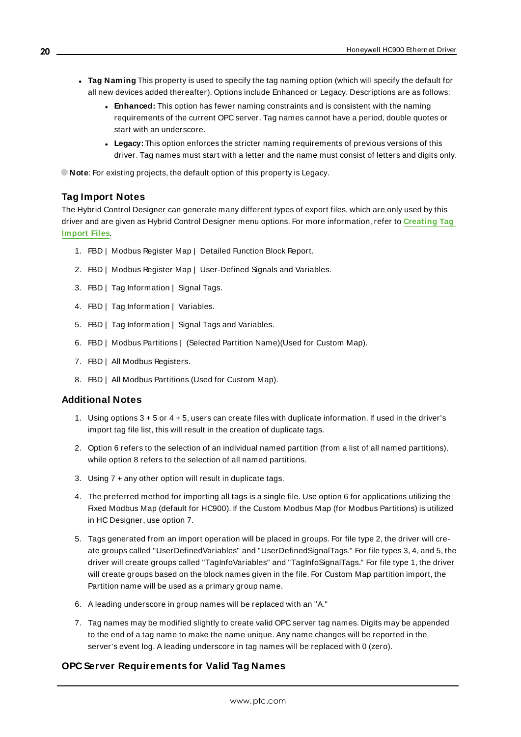- <sup>l</sup> **Tag Naming** This property is used to specify the tag naming option (which will specify the default for all new devices added thereafter). Options include Enhanced or Legacy. Descriptions are as follows:
	- **Enhanced:** This option has fewer naming constraints and is consistent with the naming requirements of the current OPC server. Tag names cannot have a period, double quotes or start with an underscore.
	- **Legacy:** This option enforces the stricter naming requirements of previous versions of this driver. Tag names must start with a letter and the name must consist of letters and digits only.

**Note:** For existing projects, the default option of this property is Legacy.

#### **Tag Import Notes**

The Hybrid Control Designer can generate many different types of export files, which are only used by this driver and are given as Hybrid Control Designer menu options. For more information, refer to **[Creating](#page-36-0) Tag [Import](#page-36-0) Files**.

- 1. FBD | Modbus Register Map | Detailed Function Block Report.
- 2. FBD | Modbus Register Map | User-Defined Signals and Variables.
- 3. FBD | Tag Information | Signal Tags.
- 4. FBD | Tag Information | Variables.
- 5. FBD | Tag Information | Signal Tags and Variables.
- 6. FBD | Modbus Partitions | (Selected Partition Name)(Used for Custom Map).
- 7. FBD | All Modbus Registers.
- 8. FBD | All Modbus Partitions (Used for Custom Map).

#### **Additional Notes**

- 1. Using options 3 + 5 or 4 + 5, users can create files with duplicate information. If used in the driver's import tag file list, this will result in the creation of duplicate tags.
- 2. Option 6 refers to the selection of an individual named partition (from a list of all named partitions), while option 8 refers to the selection of all named partitions.
- 3. Using 7 + any other option will result in duplicate tags.
- 4. The preferred method for importing all tags is a single file. Use option 6 for applications utilizing the Fixed Modbus Map (default for HC900). If the Custom Modbus Map (for Modbus Partitions) is utilized in HC Designer, use option 7.
- 5. Tags generated from an import operation will be placed in groups. For file type 2, the driver will create groups called "UserDefinedVariables" and "UserDefinedSignalTags." For file types 3, 4, and 5, the driver will create groups called "TagInfoVariables" and "TagInfoSignalTags." For file type 1, the driver will create groups based on the block names given in the file. For Custom Map partition import, the Partition name will be used as a primary group name.
- 6. A leading underscore in group names will be replaced with an "A."
- 7. Tag names may be modified slightly to create valid OPC server tag names. Digits may be appended to the end of a tag name to make the name unique. Any name changes will be reported in the server's event log. A leading underscore in tag names will be replaced with 0 (zero).

#### **OPC Server Requirements for Valid Tag Names**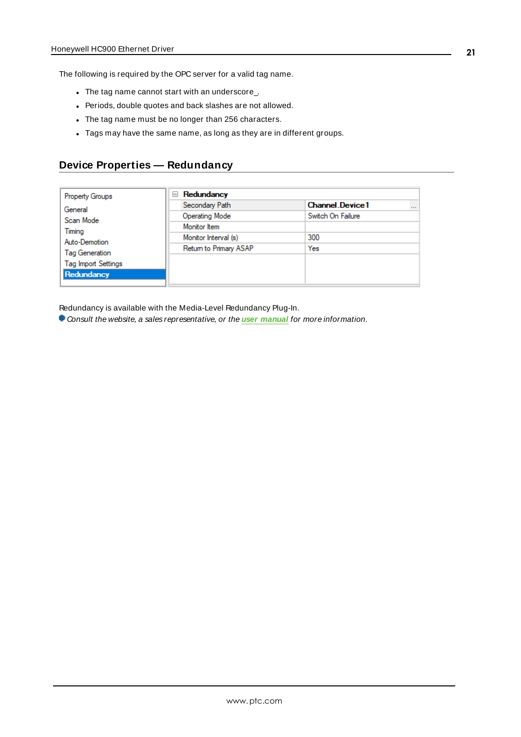The following is required by the OPC server for a valid tag name.

- The tag name cannot start with an underscore\_.
- Periods, double quotes and back slashes are not allowed.
- The tag name must be no longer than 256 characters.
- Tags may have the same name, as long as they are in different groups.

#### <span id="page-20-0"></span>**Device Properties — Redundancy**

| <b>Property Groups</b>     | Redundancy             |                                    |  |
|----------------------------|------------------------|------------------------------------|--|
| General                    | Secondary Path         | <b>Channel Device1</b><br>$\cdots$ |  |
| Scan Mode                  | <b>Operating Mode</b>  | Switch On Failure                  |  |
| Timing                     | Monitor Item           |                                    |  |
| Auto-Demotion              | Monitor Interval (s)   | 300                                |  |
| <b>Tag Generation</b>      | Return to Primary ASAP | Yes                                |  |
| <b>Tag Import Settings</b> |                        |                                    |  |
| Redundancy                 |                        |                                    |  |
|                            |                        |                                    |  |

Redundancy is available with the Media-Level Redundancy Plug-In.

Consult the website, a sales representative, or the **user [manual](https://www.kepware.com/getattachment/35461efd-b53a-4219-a109-a89fad20b230/media-level-redundancy-manual.pdf)** for more information.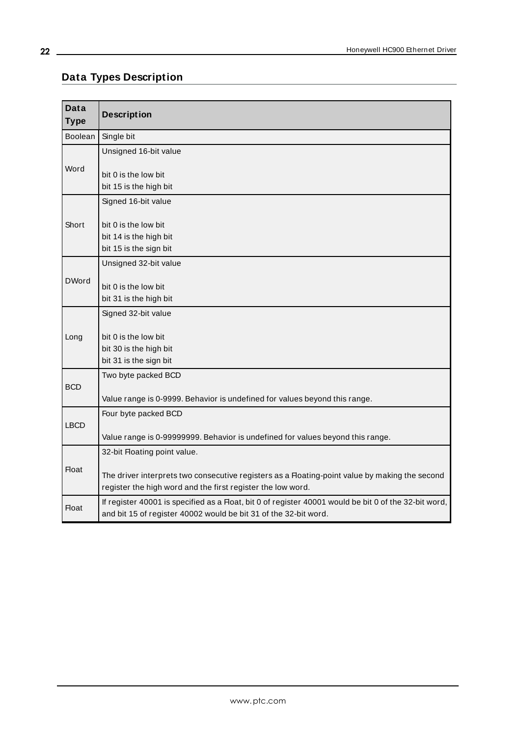## <span id="page-21-0"></span>**Data Types Description**

<u> 1989 - Johann Barn, mars ar breithinn ar breithinn ar breithinn ar breithinn ar breithinn ar breithinn ar br</u>

<span id="page-21-8"></span><span id="page-21-7"></span><span id="page-21-6"></span><span id="page-21-5"></span><span id="page-21-4"></span><span id="page-21-3"></span><span id="page-21-2"></span><span id="page-21-1"></span>

| <b>Data</b><br><b>Type</b> | <b>Description</b>                                                                                                                                                        |
|----------------------------|---------------------------------------------------------------------------------------------------------------------------------------------------------------------------|
| <b>Boolean</b>             | Single bit                                                                                                                                                                |
|                            | Unsigned 16-bit value                                                                                                                                                     |
| Word                       | bit 0 is the low bit<br>bit 15 is the high bit                                                                                                                            |
|                            | Signed 16-bit value                                                                                                                                                       |
| Short                      | bit 0 is the low bit<br>bit 14 is the high bit<br>bit 15 is the sign bit                                                                                                  |
|                            | Unsigned 32-bit value                                                                                                                                                     |
| <b>DWord</b>               | bit 0 is the low bit<br>bit 31 is the high bit                                                                                                                            |
|                            | Signed 32-bit value                                                                                                                                                       |
| Long                       | bit 0 is the low bit<br>bit 30 is the high bit<br>bit 31 is the sign bit                                                                                                  |
|                            | Two byte packed BCD                                                                                                                                                       |
| <b>BCD</b>                 | Value range is 0-9999. Behavior is undefined for values beyond this range.                                                                                                |
|                            | Four byte packed BCD                                                                                                                                                      |
| <b>LBCD</b>                | Value range is 0-99999999. Behavior is undefined for values beyond this range.                                                                                            |
|                            | 32-bit Floating point value.                                                                                                                                              |
| <b>Float</b>               | The driver interprets two consecutive registers as a Floating-point value by making the second<br>register the high word and the first register the low word.             |
| <b>Float</b>               | If register 40001 is specified as a Float, bit 0 of register 40001 would be bit 0 of the 32-bit word,<br>and bit 15 of register 40002 would be bit 31 of the 32-bit word. |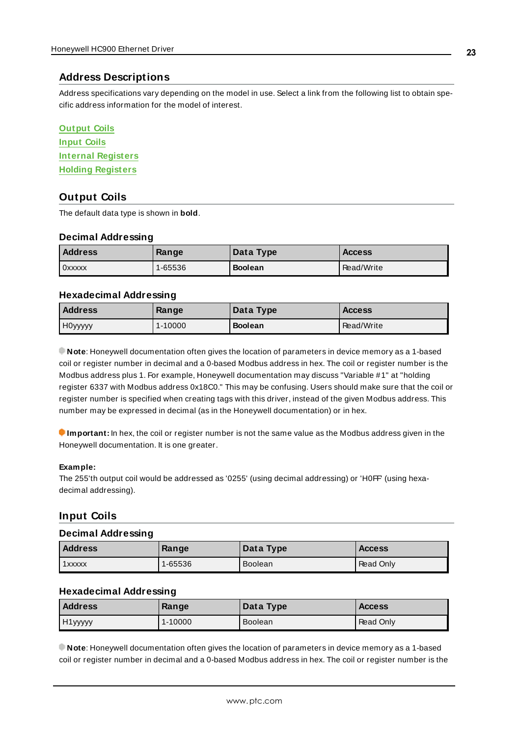## <span id="page-22-0"></span>**Address Descriptions**

Address specifications vary depending on the model in use. Select a link from the following list to obtain specific address information for the model of interest.

<span id="page-22-3"></span>

| <b>Output Coils</b>       |
|---------------------------|
| <b>Input Coils</b>        |
| <b>Internal Registers</b> |
| <b>Holding Registers</b>  |

## <span id="page-22-1"></span>**Output Coils**

The default data type is shown in **bold**.

#### **Decimal Addressing**

| Address | Range   | Data Type      | <b>Access</b> |
|---------|---------|----------------|---------------|
| 0xxxxx  | 1-65536 | <b>Boolean</b> | Read/Write    |

#### **Hexadecimal Addressing**

| <b>Address</b> | Range   | Data Type      | <b>Access</b> |
|----------------|---------|----------------|---------------|
| H0vvvvv        | 1-10000 | <b>Boolean</b> | Read/Write    |

**Note**: Honeywell documentation often gives the location of parameters in device memory as a 1-based coil or register number in decimal and a 0-based Modbus address in hex. The coil or register number is the Modbus address plus 1. For example, Honeywell documentation may discuss "Variable #1" at "holding register 6337 with Modbus address 0x18C0." This may be confusing. Users should make sure that the coil or register number is specified when creating tags with this driver, instead of the given Modbus address. This number may be expressed in decimal (as in the Honeywell documentation) or in hex.

**Important:** In hex, the coil or register number is not the same value as the Modbus address given in the Honeywell documentation. It is one greater.

#### **Example:**

The 255'th output coil would be addressed as '0255' (using decimal addressing) or 'H0FF' (using hexadecimal addressing).

## <span id="page-22-2"></span>**Input Coils**

#### **Decimal Addressing**

| <b>Address</b> | Range   | Data Type      | <b>Access</b> |
|----------------|---------|----------------|---------------|
| 1xxxxx         | 1-65536 | <b>Boolean</b> | Read Only     |

#### **Hexadecimal Addressing**

| <b>Address</b> | Range   | Data Type      | <b>Access</b> |
|----------------|---------|----------------|---------------|
| H1yyyyy        | 1-10000 | <b>Boolean</b> | Read Only     |

**Note**: Honeywell documentation often gives the location of parameters in device memory as a 1-based coil or register number in decimal and a 0-based Modbus address in hex. The coil or register number is the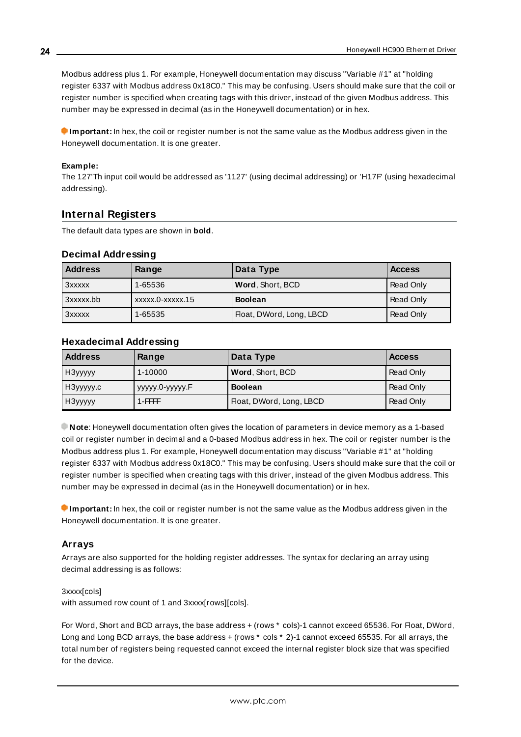Modbus address plus 1. For example, Honeywell documentation may discuss "Variable #1" at "holding register 6337 with Modbus address 0x18C0." This may be confusing. Users should make sure that the coil or register number is specified when creating tags with this driver, instead of the given Modbus address. This number may be expressed in decimal (as in the Honeywell documentation) or in hex.

**Important:** In hex, the coil or register number is not the same value as the Modbus address given in the Honeywell documentation. It is one greater.

#### **Example:**

The 127'Th input coil would be addressed as '1127' (using decimal addressing) or 'H17F' (using hexadecimal addressing).

#### <span id="page-23-0"></span>**Internal Registers**

The default data types are shown in **bold**.

#### **Decimal Addressing**

| <b>Address</b> | Range            | Data Type                | <b>Access</b> |
|----------------|------------------|--------------------------|---------------|
| 3xxxxx         | 1-65536          | Word, Short, BCD         | Read Only     |
| 3xxxxx.bb      | xxxxx.0-xxxxx.15 | <b>Boolean</b>           | Read Only     |
| 3xxxxx         | 1-65535          | Float, DWord, Long, LBCD | Read Only     |

#### **Hexadecimal Addressing**

| <b>Address</b> | Range              | Data Type                | <b>Access</b> |
|----------------|--------------------|--------------------------|---------------|
| НЗууууу        | 1-10000            | Word, Short, BCD         | Read Only     |
| НЗууууу.с      | ууууу.0-ууууу. $F$ | <b>Boolean</b>           | Read Only     |
| , НЗууууу      | $1$ -FFFFF         | Float, DWord, Long, LBCD | Read Only     |

**Note**: Honeywell documentation often gives the location of parameters in device memory as a 1-based coil or register number in decimal and a 0-based Modbus address in hex. The coil or register number is the Modbus address plus 1. For example, Honeywell documentation may discuss "Variable #1" at "holding register 6337 with Modbus address 0x18C0." This may be confusing. Users should make sure that the coil or register number is specified when creating tags with this driver, instead of the given Modbus address. This number may be expressed in decimal (as in the Honeywell documentation) or in hex.

**Important:** In hex, the coil or register number is not the same value as the Modbus address given in the Honeywell documentation. It is one greater.

#### **Arrays**

Arrays are also supported for the holding register addresses. The syntax for declaring an array using decimal addressing is as follows:

#### 3xxxx[cols]

with assumed row count of 1 and 3xxxx[rows][cols].

For Word, Short and BCD arrays, the base address + (rows \* cols)-1 cannot exceed 65536. For Float, DWord, Long and Long BCD arrays, the base address + (rows  $*$  cols  $*$  2)-1 cannot exceed 65535. For all arrays, the total number of registers being requested cannot exceed the internal register block size that was specified for the device.

**24**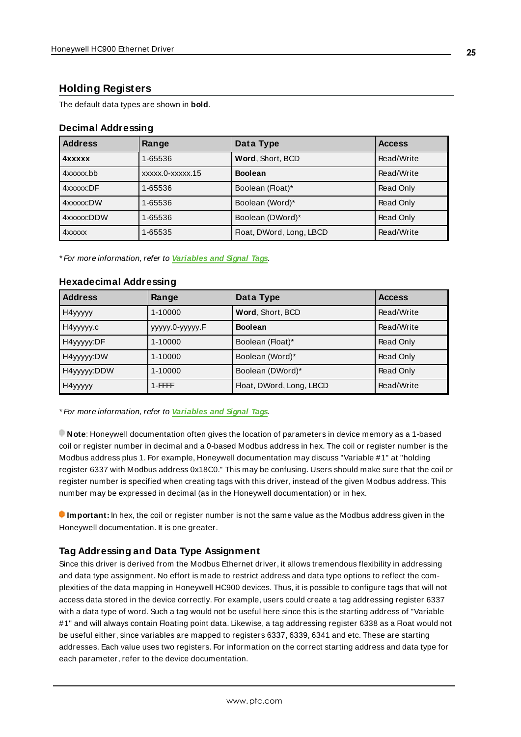## <span id="page-24-0"></span>**Holding Registers**

The default data types are shown in **bold**.

## **Decimal Addressing**

| <b>Address</b> | Range            | Data Type                | <b>Access</b> |
|----------------|------------------|--------------------------|---------------|
| <b>4xxxxx</b>  | 1-65536          | Word, Short, BCD         | Read/Write    |
| 4xxxxx.bb      | xxxxx.0-xxxxx.15 | <b>Boolean</b>           | Read/Write    |
| 4xxxxx:DF      | 1-65536          | Boolean (Float)*         | Read Only     |
| 4xxxxx:DW      | 1-65536          | Boolean (Word)*          | Read Only     |
| 4xxxxx:DDW     | 1-65536          | Boolean (DWord)*         | Read Only     |
| 4xxxxx         | 1-65535          | Float, DWord, Long, LBCD | Read/Write    |

\* For more information, refer to **[Variables](#page-25-0) and Signal Tags**.

| <b>Address</b>      | Range            | Data Type                | <b>Access</b> |
|---------------------|------------------|--------------------------|---------------|
| H4yyyyy             | 1-10000          | Word, Short, BCD         | Read/Write    |
| H4yyyyy.c           | ууууу.0-ууууу. Г | <b>Boolean</b>           | Read/Write    |
| H4yyyyy:DF          | 1-10000          | Boolean (Float)*         | Read Only     |
| H4yyyyy:DW          | 1-10000          | Boolean (Word)*          | Read Only     |
| H4yyyyy:DDW         | 1-10000          | Boolean (DWord)*         | Read Only     |
| H <sub>4yyyyy</sub> | $1$ -FFFFF       | Float, DWord, Long, LBCD | Read/Write    |

#### **Hexadecimal Addressing**

\* For more information, refer to **[Variables](#page-25-0) and Signal Tags**.

**Note**: Honeywell documentation often gives the location of parameters in device memory as a 1-based coil or register number in decimal and a 0-based Modbus address in hex. The coil or register number is the Modbus address plus 1. For example, Honeywell documentation may discuss "Variable #1" at "holding register 6337 with Modbus address 0x18C0." This may be confusing. Users should make sure that the coil or register number is specified when creating tags with this driver, instead of the given Modbus address. This number may be expressed in decimal (as in the Honeywell documentation) or in hex.

**Important:** In hex, the coil or register number is not the same value as the Modbus address given in the Honeywell documentation. It is one greater.

## **Tag Addressing and Data Type Assignment**

Since this driver is derived from the Modbus Ethernet driver, it allows tremendous flexibility in addressing and data type assignment. No effort is made to restrict address and data type options to reflect the complexities of the data mapping in Honeywell HC900 devices. Thus, it is possible to configure tags that will not access data stored in the device correctly. For example, users could create a tag addressing register 6337 with a data type of word. Such a tag would not be useful here since this is the starting address of "Variable #1" and will always contain Floating point data. Likewise, a tag addressing register 6338 as a Float would not be useful either, since variables are mapped to registers 6337, 6339, 6341 and etc. These are starting addresses. Each value uses two registers. For information on the correct starting address and data type for each parameter, refer to the device documentation.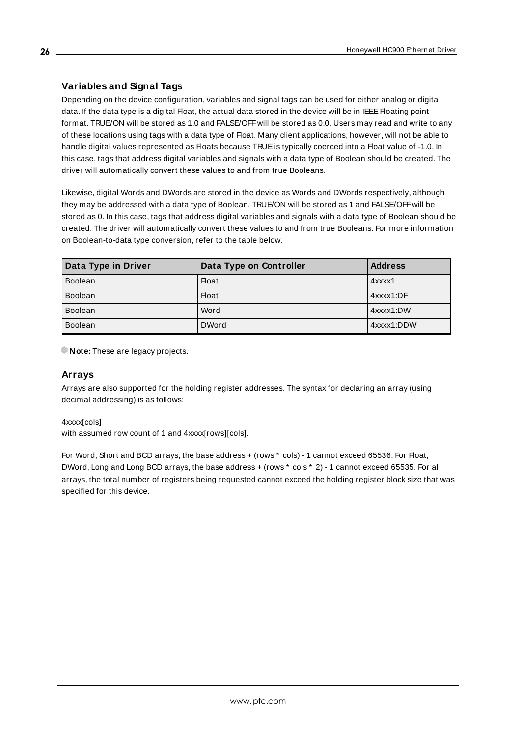## <span id="page-25-0"></span>**Variables and Signal Tags**

Depending on the device configuration, variables and signal tags can be used for either analog or digital data. If the data type is a digital Float, the actual data stored in the device will be in IEEE Floating point format. TRUE/ON will be stored as 1.0 and FALSE/OFFwill be stored as 0.0. Users may read and write to any of these locations using tags with a data type of Float. Many client applications, however, will not be able to handle digital values represented as Floats because TRUE is typically coerced into a Float value of -1.0. In this case, tags that address digital variables and signals with a data type of Boolean should be created. The driver will automatically convert these values to and from true Booleans.

Likewise, digital Words and DWords are stored in the device as Words and DWords respectively, although they may be addressed with a data type of Boolean. TRUE/ON will be stored as 1 and FALSE/OFFwill be stored as 0. In this case, tags that address digital variables and signals with a data type of Boolean should be created. The driver will automatically convert these values to and from true Booleans. For more information on Boolean-to-data type conversion, refer to the table below.

| Data Type in Driver | Data Type on Controller | <b>Address</b> |
|---------------------|-------------------------|----------------|
| <b>Boolean</b>      | <b>Float</b>            | 4xxxx1         |
| <b>Boolean</b>      | <b>Float</b>            | 4xxxx1:DF      |
| <b>Boolean</b>      | Word                    | 4xxxx1:DW      |
| <b>Boolean</b>      | <b>DWord</b>            | 4xxxx1:DDW     |

**Note:** These are legacy projects.

## **Arrays**

Arrays are also supported for the holding register addresses. The syntax for declaring an array (using decimal addressing) is as follows:

4xxxx[cols]

with assumed row count of 1 and 4xxxx[rows][cols].

For Word, Short and BCD arrays, the base address + (rows \* cols) - 1 cannot exceed 65536. For Float, DWord, Long and Long BCD arrays, the base address + (rows \* cols \* 2) - 1 cannot exceed 65535. For all arrays, the total number of registers being requested cannot exceed the holding register block size that was specified for this device.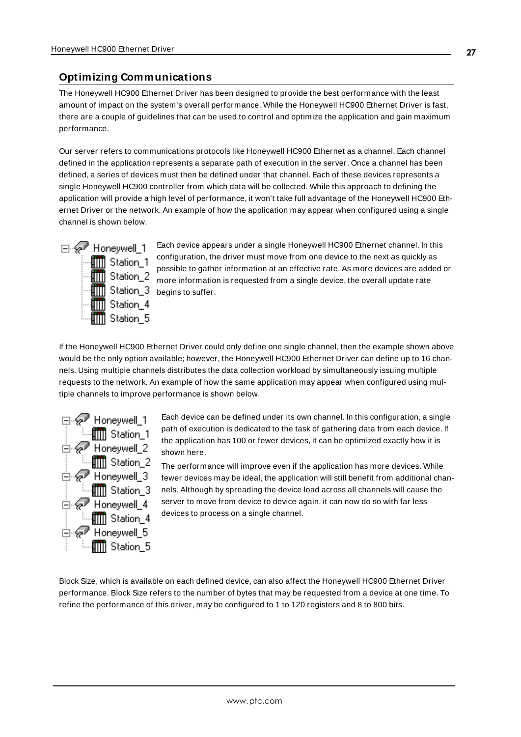## <span id="page-26-0"></span>**Optimizing Communications**

The Honeywell HC900 Ethernet Driver has been designed to provide the best performance with the least amount of impact on the system's overall performance. While the Honeywell HC900 Ethernet Driver is fast, there are a couple of guidelines that can be used to control and optimize the application and gain maximum performance.

Our server refers to communications protocols like Honeywell HC900 Ethernet as a channel. Each channel defined in the application represents a separate path of execution in the server. Once a channel has been defined, a series of devices must then be defined under that channel. Each of these devices represents a single Honeywell HC900 controller from which data will be collected. While this approach to defining the application will provide a high level of performance, it won't take full advantage of the Honeywell HC900 Ethernet Driver or the network. An example of how the application may appear when configured using a single channel is shown below.



Each device appears under a single Honeywell HC900 Ethernet channel. In this configuration, the driver must move from one device to the next as quickly as possible to gather information at an effective rate. As more devices are added or more information is requested from a single device, the overall update rate **Bullet** Station\_3 begins to suffer.

If the Honeywell HC900 Ethernet Driver could only define one single channel, then the example shown above would be the only option available; however, the Honeywell HC900 Ethernet Driver can define up to 16 channels. Using multiple channels distributes the data collection workload by simultaneously issuing multiple requests to the network. An example of how the same application may appear when configured using multiple channels to improve performance is shown below.



Each device can be defined under its own channel. In this configuration, a single path of execution is dedicated to the task of gathering data from each device. If the application has 100 or fewer devices, it can be optimized exactly how it is shown here.

The performance will improve even if the application has more devices. While fewer devices may be ideal, the application will still benefit from additional channels. Although by spreading the device load across all channels will cause the server to move from device to device again, it can now do so with far less devices to process on a single channel.

Block Size, which is available on each defined device, can also affect the Honeywell HC900 Ethernet Driver performance. Block Size refers to the number of bytes that may be requested from a device at one time. To refine the performance of this driver, may be configured to 1 to 120 registers and 8 to 800 bits.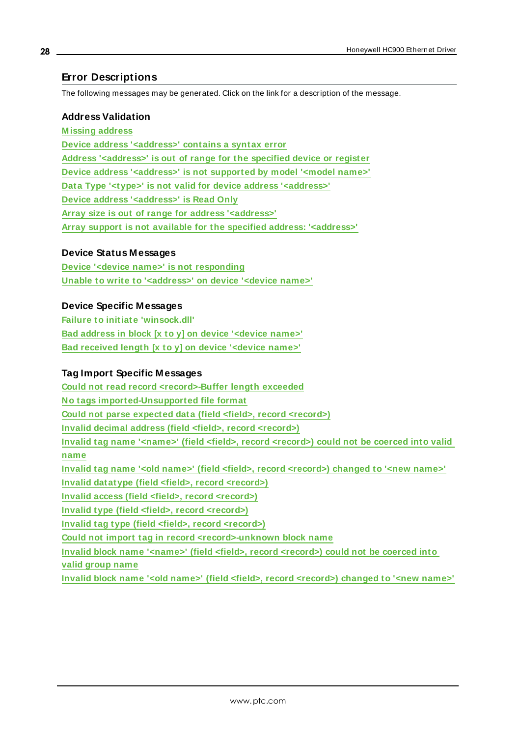## <span id="page-27-0"></span>**Error Descriptions**

The following messages may be generated. Click on the link for a description of the message.

#### **Address Validation**

**[M issing](#page-28-0) address Device address ['<address>'](#page-28-1) contains a syntax error Address ['<address>'](#page-28-2) is out of range for the specified device or register Device address ['<address>'](#page-28-3) is not supported by model '<model name>' Data Type '<type>' is not valid for device address ['<address>'](#page-28-4) Device address ['<address>'](#page-29-0) is Read Only Array size is out of range for address ['<address>'](#page-29-1) Array support is not available for the specified address: ['<address>'](#page-29-2)**

#### **Device Status Messages**

**Device '<device name>' is not [responding](#page-29-3) Unable to write to ['<address>'](#page-30-0) on device '<device name>'**

#### **Device Specific Messages**

**Failure to initiate ['winsock.dll'](#page-30-1) Bad address in block [x to y] on device ['<device](#page-30-2) name>' Bad [received](#page-31-0) length [x to y] on device '<device name>'**

### **Tag Import Specific Messages**

**Could not read record [<record>-Buffer](#page-31-1) length exceeded No tags [imported-Unsupported](#page-31-2) file format Could not parse expected data (field <field>, record [<record>\)](#page-32-0) Invalid decimal address (field <field>, record [<record>\)](#page-32-1) Invalid tag name '<name>' (field <field>, record [<record>\)](#page-32-2) could not be coerced into valid [name](#page-32-2) Invalid tag name '<old name>' (field <field>, record [<record>\)](#page-33-0) changed to '<new name>' Invalid datatype (field <field>, record [<record>\)](#page-33-1) Invalid access (field <field>, record [<record>\)](#page-33-2) Invalid type (field <field>, record [<record>\)](#page-34-0) Invalid tag type (field <field>, record [<record>\)](#page-34-1) Could not import tag in record [<record>-unknown](#page-35-0) block name Invalid block name '<name>' (field <field>, record [<record>\)](#page-35-1) could not be coerced into valid [group](#page-35-1) name Invalid block name '<old name>' (field <field>, record [<record>\)](#page-35-2) changed to '<new name>'**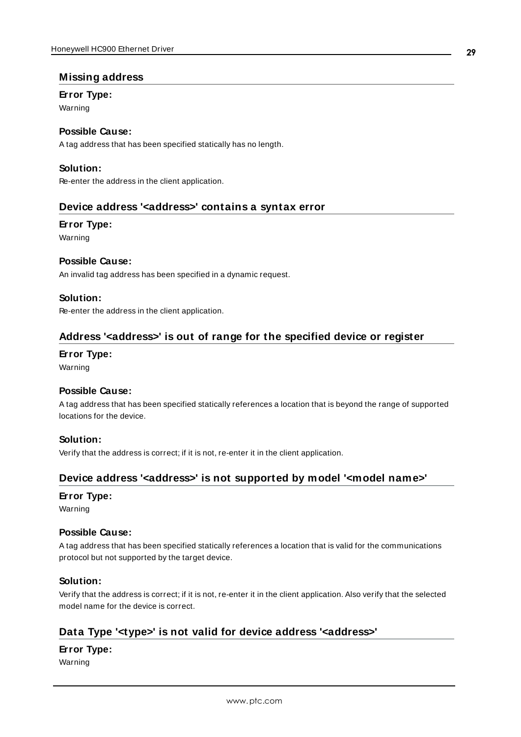#### <span id="page-28-0"></span>**Missing address**

#### **Error Type:**

Warning

## **Possible Cause:**

A tag address that has been specified statically has no length.

### **Solution:**

<span id="page-28-1"></span>Re-enter the address in the client application.

#### **Device address '<address>' contains a syntax error**

#### **Error Type:**

Warning

#### **Possible Cause:**

An invalid tag address has been specified in a dynamic request.

#### **Solution:**

<span id="page-28-2"></span>Re-enter the address in the client application.

## **Address '<address>' is out of range for the specified device or register**

#### **Error Type:**

Warning

#### **Possible Cause:**

A tag address that has been specified statically references a location that is beyond the range of supported locations for the device.

#### **Solution:**

<span id="page-28-3"></span>Verify that the address is correct; if it is not, re-enter it in the client application.

## **Device address '<address>' is not supported by model '<model name>'**

#### **Error Type:**

Warning

#### **Possible Cause:**

A tag address that has been specified statically references a location that is valid for the communications protocol but not supported by the target device.

#### **Solution:**

Verify that the address is correct; if it is not, re-enter it in the client application. Also verify that the selected model name for the device is correct.

## <span id="page-28-4"></span>**Data Type '<type>' is not valid for device address '<address>'**

#### **Error Type:**

Warning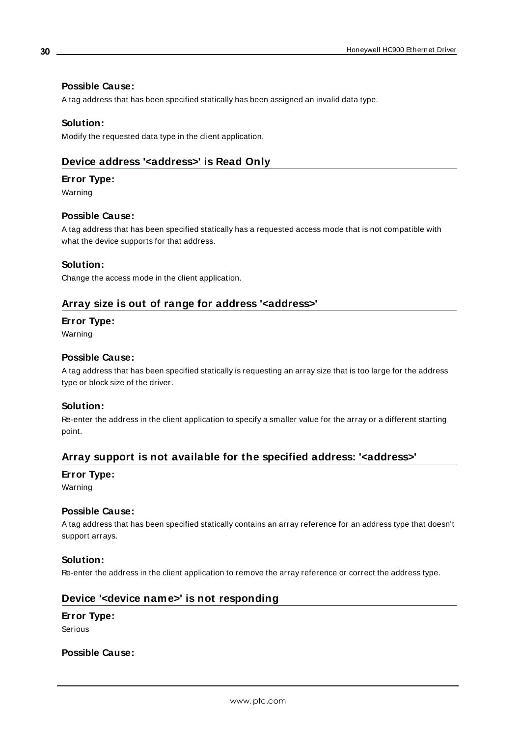#### **Possible Cause:**

A tag address that has been specified statically has been assigned an invalid data type.

#### **Solution:**

<span id="page-29-0"></span>Modify the requested data type in the client application.

## **Device address '<address>' is Read Only**

#### **Error Type:**

Warning

#### **Possible Cause:**

A tag address that has been specified statically has a requested access mode that is not compatible with what the device supports for that address.

#### **Solution:**

<span id="page-29-1"></span>Change the access mode in the client application.

#### **Array size is out of range for address '<address>'**

#### **Error Type:**

Warning

#### **Possible Cause:**

A tag address that has been specified statically is requesting an array size that is too large for the address type or block size of the driver.

#### **Solution:**

Re-enter the address in the client application to specify a smaller value for the array or a different starting point.

## <span id="page-29-2"></span>**Array support is not available for the specified address: '<address>'**

#### **Error Type:**

Warning

#### **Possible Cause:**

A tag address that has been specified statically contains an array reference for an address type that doesn't support arrays.

#### **Solution:**

<span id="page-29-3"></span>Re-enter the address in the client application to remove the array reference or correct the address type.

### **Device '<device name>' is not responding**

## **Error Type:**

Serious

## **Possible Cause:**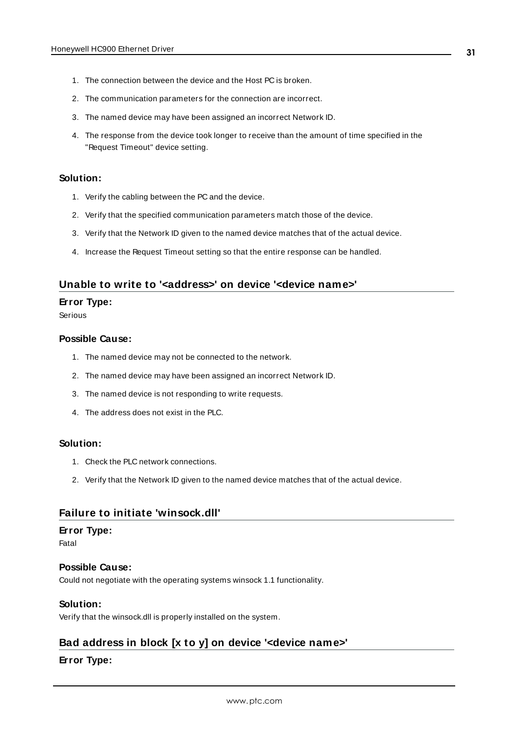- 1. The connection between the device and the Host PC is broken.
- 2. The communication parameters for the connection are incorrect.
- 3. The named device may have been assigned an incorrect Network ID.
- 4. The response from the device took longer to receive than the amount of time specified in the "Request Timeout" device setting.

#### **Solution:**

- 1. Verify the cabling between the PC and the device.
- 2. Verify that the specified communication parameters match those of the device.
- 3. Verify that the Network ID given to the named device matches that of the actual device.
- 4. Increase the Request Timeout setting so that the entire response can be handled.

## <span id="page-30-0"></span>**Unable to write to '<address>' on device '<device name>'**

#### **Error Type:**

Serious

#### **Possible Cause:**

- 1. The named device may not be connected to the network.
- 2. The named device may have been assigned an incorrect Network ID.
- 3. The named device is not responding to write requests.
- 4. The address does not exist in the PLC.

#### **Solution:**

- 1. Check the PLC network connections.
- 2. Verify that the Network ID given to the named device matches that of the actual device.

#### <span id="page-30-1"></span>**Failure to initiate 'winsock.dll'**

#### **Error Type:**

Fatal

#### **Possible Cause:**

Could not negotiate with the operating systems winsock 1.1 functionality.

#### **Solution:**

<span id="page-30-2"></span>Verify that the winsock.dll is properly installed on the system.

## **Bad address in block [x to y] on device '<device name>'**

#### **Error Type:**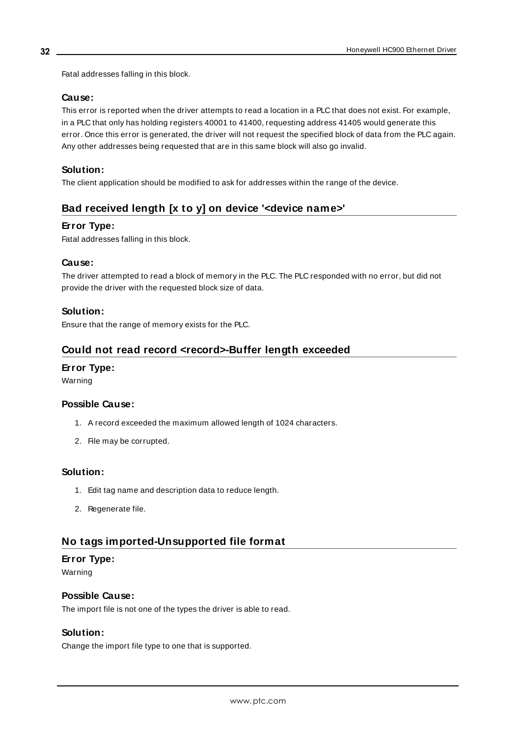Fatal addresses falling in this block.

#### **Cause:**

This error is reported when the driver attempts to read a location in a PLC that does not exist. For example, in a PLC that only has holding registers 40001 to 41400, requesting address 41405 would generate this error. Once this error is generated, the driver will not request the specified block of data from the PLC again. Any other addresses being requested that are in this same block will also go invalid.

### **Solution:**

<span id="page-31-0"></span>The client application should be modified to ask for addresses within the range of the device.

## **Bad received length [x to y] on device '<device name>'**

#### **Error Type:**

Fatal addresses falling in this block.

#### **Cause:**

The driver attempted to read a block of memory in the PLC. The PLC responded with no error, but did not provide the driver with the requested block size of data.

#### **Solution:**

<span id="page-31-1"></span>Ensure that the range of memory exists for the PLC.

## **Could not read record <record>-Buffer length exceeded**

#### **Error Type:**

Warning

#### **Possible Cause:**

- 1. A record exceeded the maximum allowed length of 1024 characters.
- 2. File may be corrupted.

#### **Solution:**

- 1. Edit tag name and description data to reduce length.
- 2. Regenerate file.

## <span id="page-31-2"></span>**No tags imported-Unsupported file format**

#### **Error Type:**

Warning

#### **Possible Cause:**

The import file is not one of the types the driver is able to read.

#### **Solution:**

Change the import file type to one that is supported.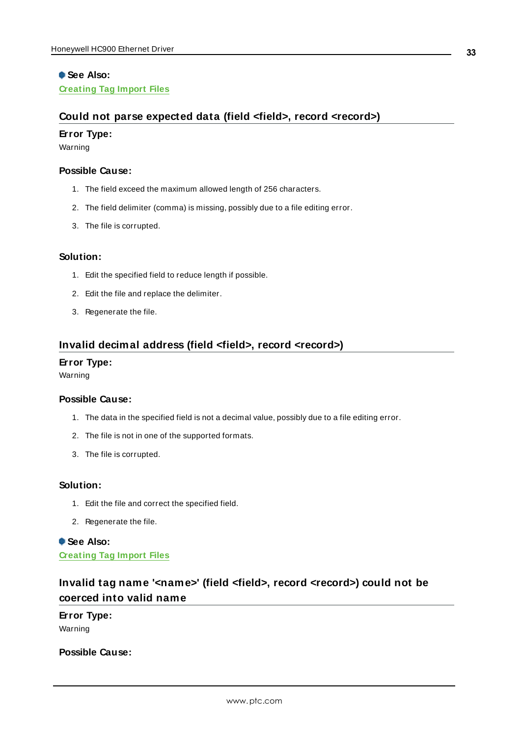## **See Also: [Creating](#page-36-0) Tag Import Files**

## <span id="page-32-0"></span>**Could not parse expected data (field <field>, record <record>)**

#### **Error Type:**

Warning

#### **Possible Cause:**

- 1. The field exceed the maximum allowed length of 256 characters.
- 2. The field delimiter (comma) is missing, possibly due to a file editing error.
- 3. The file is corrupted.

#### **Solution:**

- 1. Edit the specified field to reduce length if possible.
- 2. Edit the file and replace the delimiter.
- 3. Regenerate the file.

#### <span id="page-32-1"></span>**Invalid decimal address (field <field>, record <record>)**

#### **Error Type:**

Warning

#### **Possible Cause:**

- 1. The data in the specified field is not a decimal value, possibly due to a file editing error.
- 2. The file is not in one of the supported formats.
- 3. The file is corrupted.

## **Solution:**

- 1. Edit the file and correct the specified field.
- 2. Regenerate the file.

**See Also: [Creating](#page-36-0) Tag Import Files**

## <span id="page-32-2"></span>**Invalid tag name '<name>' (field <field>, record <record>) could not be coerced into valid name**

## **Error Type:**

Warning

**Possible Cause:**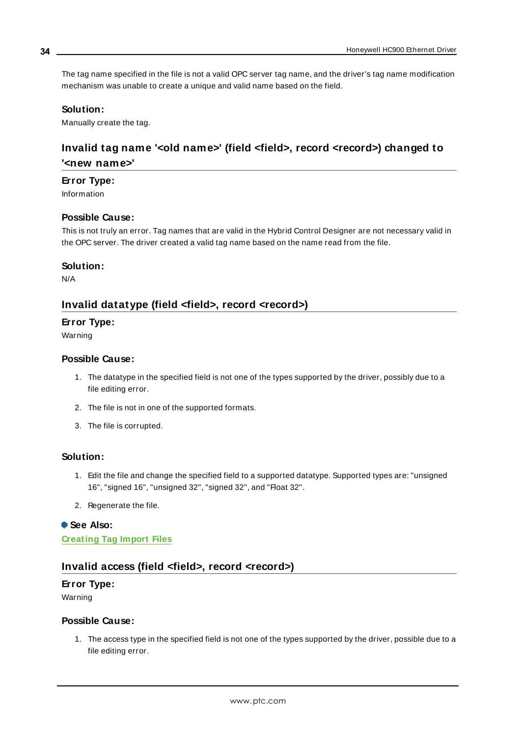The tag name specified in the file is not a valid OPC server tag name, and the driver's tag name modification mechanism was unable to create a unique and valid name based on the field.

#### **Solution:**

<span id="page-33-0"></span>Manually create the tag.

## **Invalid tag name '<old name>' (field <field>, record <record>) changed to '<new name>'**

#### **Error Type:**

Information

## **Possible Cause:**

This is not truly an error. Tag names that are valid in the Hybrid Control Designer are not necessary valid in the OPC server. The driver created a valid tag name based on the name read from the file.

#### **Solution:**

<span id="page-33-1"></span>N/A

#### **Invalid datatype (field <field>, record <record>)**

#### **Error Type:**

Warning

#### **Possible Cause:**

- 1. The datatype in the specified field is not one of the types supported by the driver, possibly due to a file editing error.
- 2. The file is not in one of the supported formats.
- 3. The file is corrupted.

#### **Solution:**

- 1. Edit the file and change the specified field to a supported datatype. Supported types are: "unsigned 16", "signed 16", "unsigned 32", "signed 32", and "Float 32".
- 2. Regenerate the file.

#### **See Also:**

<span id="page-33-2"></span>**[Creating](#page-36-0) Tag Import Files**

#### **Invalid access (field <field>, record <record>)**

#### **Error Type:**

Warning

#### **Possible Cause:**

1. The access type in the specified field is not one of the types supported by the driver, possible due to a file editing error.

**34**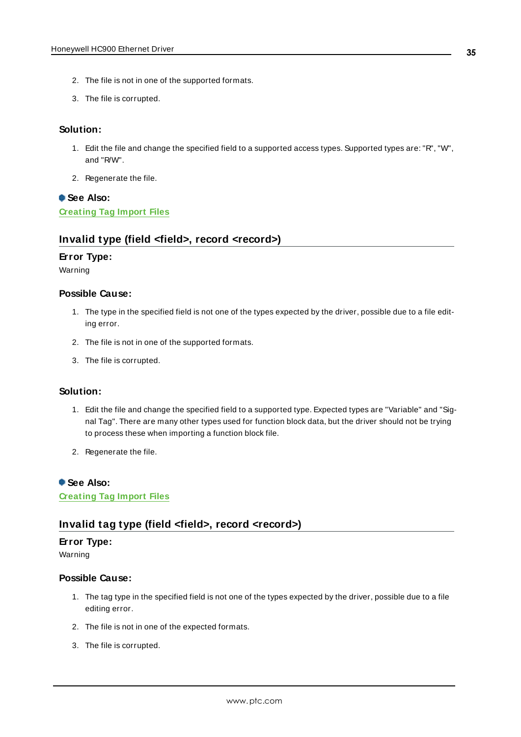- 2. The file is not in one of the supported formats.
- 3. The file is corrupted.

#### **Solution:**

- 1. Edit the file and change the specified field to a supported access types. Supported types are: "R", "W", and "R/W".
- 2. Regenerate the file.

## **See Also: [Creating](#page-36-0) Tag Import Files**

#### <span id="page-34-0"></span>**Invalid type (field <field>, record <record>)**

#### **Error Type:**

Warning

#### **Possible Cause:**

- 1. The type in the specified field is not one of the types expected by the driver, possible due to a file editing error.
- 2. The file is not in one of the supported formats.
- 3. The file is corrupted.

### **Solution:**

- 1. Edit the file and change the specified field to a supported type. Expected types are "Variable" and "Signal Tag". There are many other types used for function block data, but the driver should not be trying to process these when importing a function block file.
- 2. Regenerate the file.

#### **See Also:**

<span id="page-34-1"></span>**[Creating](#page-36-0) Tag Import Files**

#### **Invalid tag type (field <field>, record <record>)**

#### **Error Type:**

Warning

#### **Possible Cause:**

- 1. The tag type in the specified field is not one of the types expected by the driver, possible due to a file editing error.
- 2. The file is not in one of the expected formats.
- 3. The file is corrupted.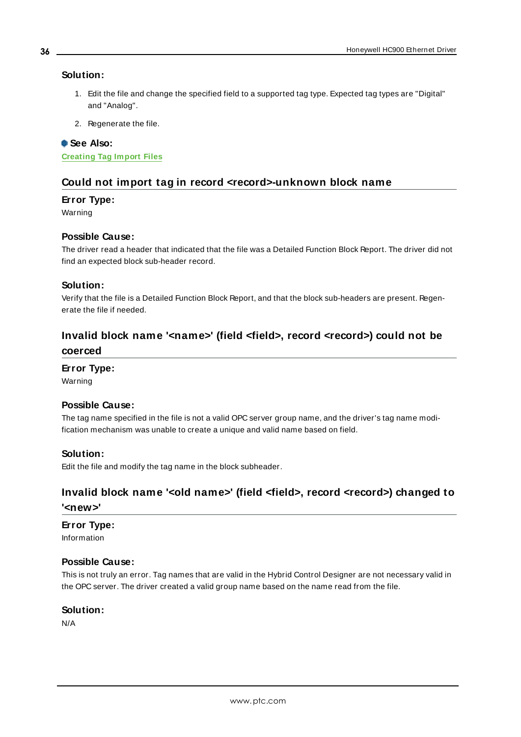#### **Solution:**

- 1. Edit the file and change the specified field to a supported tag type. Expected tag types are "Digital" and "Analog".
- 2. Regenerate the file.

#### **See Also:**

<span id="page-35-0"></span>**[Creating](#page-36-0) Tag Import Files**

#### **Could not import tag in record <record>-unknown block name**

#### **Error Type:**

Warning

#### **Possible Cause:**

The driver read a header that indicated that the file was a Detailed Function Block Report. The driver did not find an expected block sub-header record.

#### **Solution:**

Verify that the file is a Detailed Function Block Report, and that the block sub-headers are present. Regenerate the file if needed.

## <span id="page-35-1"></span>**Invalid block name '<name>' (field <field>, record <record>) could not be coerced**

#### **Error Type:**

Warning

#### **Possible Cause:**

The tag name specified in the file is not a valid OPC server group name, and the driver's tag name modification mechanism was unable to create a unique and valid name based on field.

#### **Solution:**

<span id="page-35-2"></span>Edit the file and modify the tag name in the block subheader.

## **Invalid block name '<old name>' (field <field>, record <record>) changed to '<new>'**

#### **Error Type:**

Information

#### **Possible Cause:**

This is not truly an error. Tag names that are valid in the Hybrid Control Designer are not necessary valid in the OPC server. The driver created a valid group name based on the name read from the file.

#### **Solution:**

N/A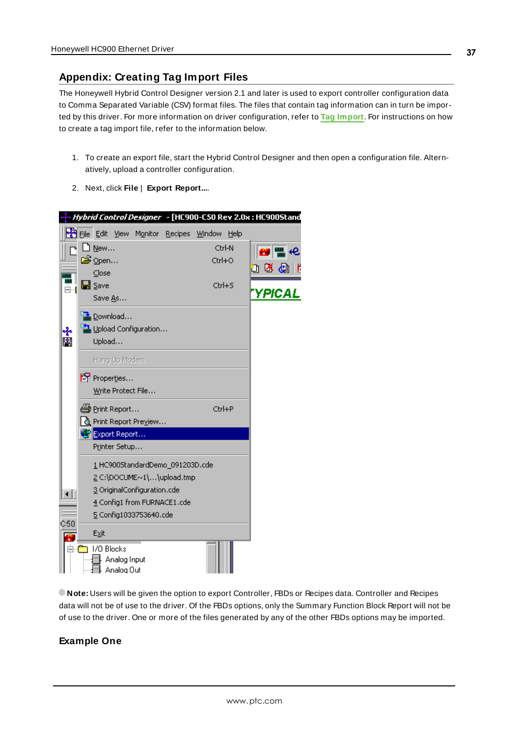## <span id="page-36-0"></span>**Appendix: Creating Tag Import Files**

The Honeywell Hybrid Control Designer version 2.1 and later is used to export controller configuration data to Comma Separated Variable (CSV) format files. The files that contain tag information can in turn be imported by this driver. For more information on driver configuration, refer to **Tag [Import](#page-18-0)**. For instructions on how to create a tag import file, refer to the information below.

- 1. To create an export file, start the Hybrid Control Designer and then open a configuration file. Alternatively, upload a controller configuration.
- 2. Next, click **File** | **Export Report...**.



**Note:** Users will be given the option to export Controller, FBDs or Recipes data. Controller and Recipes data will not be of use to the driver. Of the FBDs options, only the Summary Function Block Report will not be of use to the driver. One or more of the files generated by any of the other FBDs options may be imported.

#### **Example One**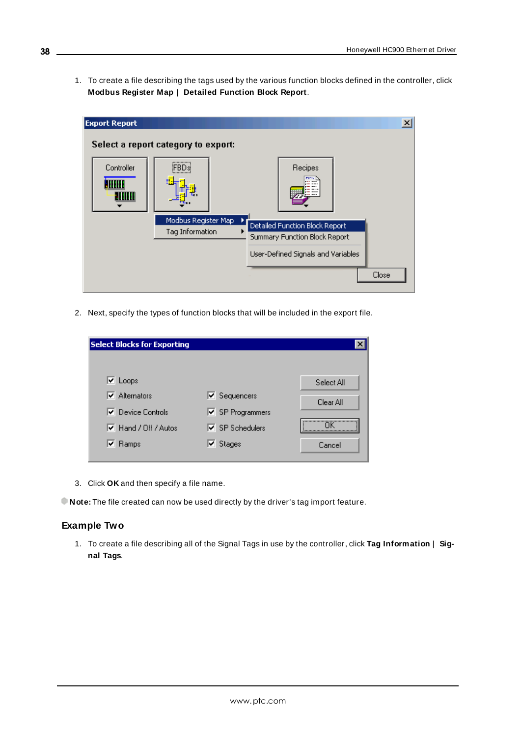1. To create a file describing the tags used by the various function blocks defined in the controller, click **Modbus Register Map** | **Detailed Function Block Report**.

| <b>Export Report</b> |                                        |                                                                                                       | $\vert x \vert$ |
|----------------------|----------------------------------------|-------------------------------------------------------------------------------------------------------|-----------------|
|                      | Select a report category to export:    |                                                                                                       |                 |
| Controller           | ,,,,,,,,,,,,,,<br>FBDsi                | Recipes                                                                                               |                 |
|                      | Modbus Register Map<br>Tag Information | Detailed Function Block Report<br>Summary Function Block Report<br>User-Defined Signals and Variables |                 |
|                      |                                        | Close                                                                                                 |                 |

2. Next, specify the types of function blocks that will be included in the export file.

| <b>Select Blocks for Exporting</b>  |                                       |            |
|-------------------------------------|---------------------------------------|------------|
|                                     |                                       |            |
| $\triangledown$ Loops               |                                       | Select All |
| $\overline{\mathbf{v}}$ Alternators | $\blacktriangleright$ Sequencers      | Clear All  |
| <b>▽</b> Device Controls            | <b>▽</b> SP Programmers               |            |
| Ø Hand / Off / Autos                | $\overline{\mathsf{v}}$ SP Schedulers |            |
| $\triangledown$ Ramps               | $\triangledown$ Stages                | Cancel     |

- 3. Click **OK** and then specify a file name.
- **Note:** The file created can now be used directly by the driver's tag import feature.

#### **Example Two**

1. To create a file describing all of the Signal Tags in use by the controller, click **Tag Information** | **Signal Tags**.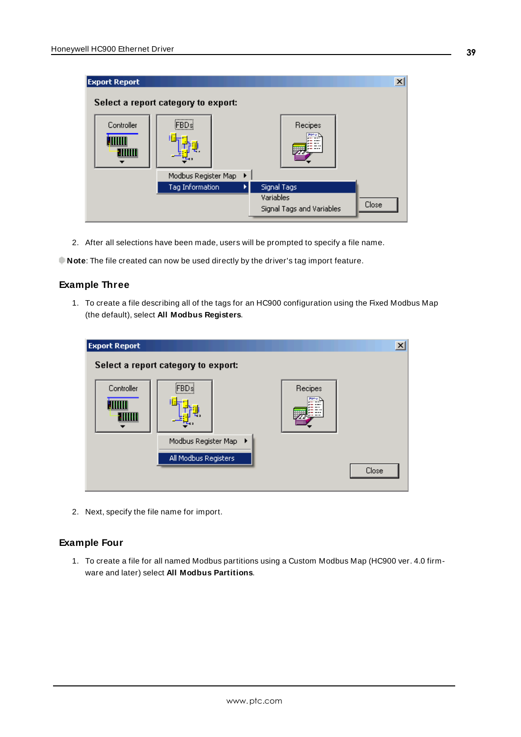| <b>Export Report</b> | Select a report category to export:              |                                                       | $\mathbf{x}$ |
|----------------------|--------------------------------------------------|-------------------------------------------------------|--------------|
| Controller           | ,,,,,,,,,,,,,,<br>:FBD si<br>Modbus Register Map | Recipes<br>7000<br>٠                                  |              |
|                      | Tag Information                                  | Signal Tags<br>Variables<br>Signal Tags and Variables | Close        |

2. After all selections have been made, users will be prompted to specify a file name.

**Note**: The file created can now be used directly by the driver's tag import feature.

#### **Example Three**

1. To create a file describing all of the tags for an HC900 configuration using the Fixed Modbus Map (the default), select **All Modbus Registers**.

| <b>Export Report</b> |                                                                              |                        | $\vert x \vert$ |
|----------------------|------------------------------------------------------------------------------|------------------------|-----------------|
|                      | Select a report category to export:                                          |                        |                 |
| Controller           | ,,,,,,,,,,,,,,,<br>⊱FBD≸<br>Modbus Register Map<br>٠<br>All Modbus Registers | Recipes<br><b>700v</b> | Close           |

2. Next, specify the file name for import.

### **Example Four**

1. To create a file for all named Modbus partitions using a Custom Modbus Map (HC900 ver. 4.0 firmware and later) select **All Modbus Partitions**.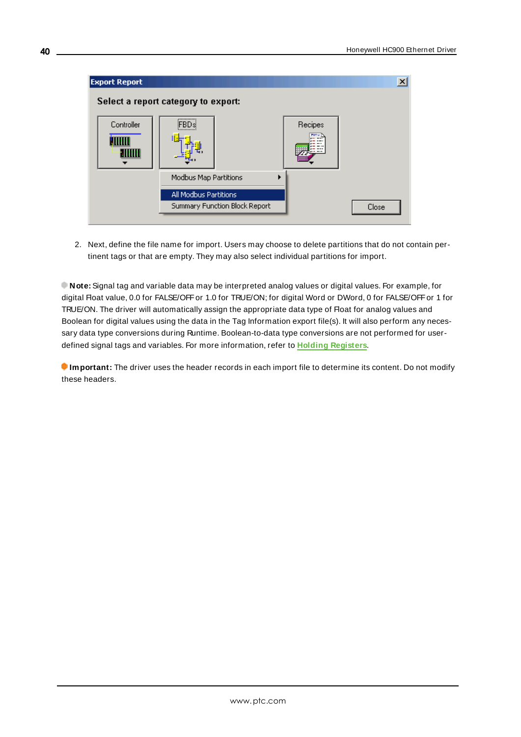| <b>Export Report</b>        |                                                                                                            |                      | $\boldsymbol{\mathsf{x}}$ |
|-----------------------------|------------------------------------------------------------------------------------------------------------|----------------------|---------------------------|
|                             | Select a report category to export:                                                                        |                      |                           |
| Controller<br><b>HIIIII</b> | ,,,,,,,,,,,,,,<br>FBDsi<br>Modbus Map Partitions<br>All Modbus Partitions<br>Summary Function Block Report | Recipes<br>アクヘッ<br>ь | Close                     |

2. Next, define the file name for import. Users may choose to delete partitions that do not contain pertinent tags or that are empty. They may also select individual partitions for import.

**Note:** Signal tag and variable data may be interpreted analog values or digital values. For example, for digital Float value, 0.0 for FALSE/OFF or 1.0 for TRUE/ON; for digital Word or DWord, 0 for FALSE/OFF or 1 for TRUE/ON. The driver will automatically assign the appropriate data type of Float for analog values and Boolean for digital values using the data in the Tag Information export file(s). It will also perform any necessary data type conversions during Runtime. Boolean-to-data type conversions are not performed for userdefined signal tags and variables. For more information, refer to **Holding [Registers](#page-24-0)**.

**Important:** The driver uses the header records in each import file to determine its content. Do not modify these headers.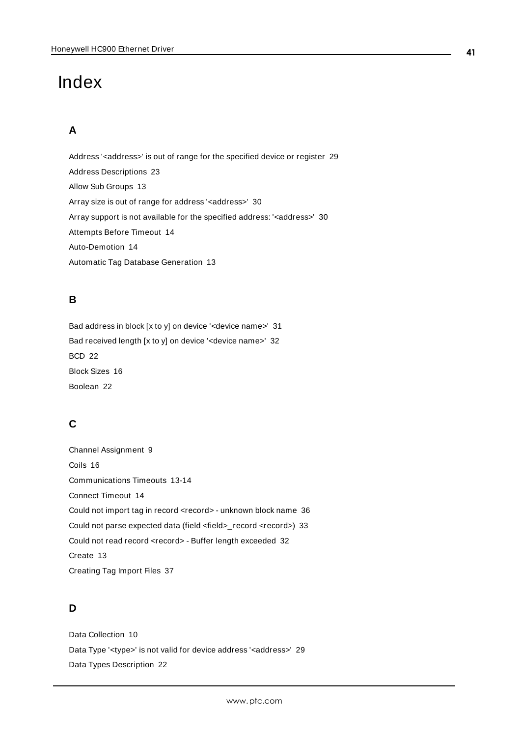# <span id="page-40-0"></span>Index

## **A**

Address '<address>' is out of range for the specified device or register [29](#page-28-2) Address Descriptions [23](#page-22-0) Allow Sub Groups [13](#page-12-2) Array size is out of range for address '<address>' [30](#page-29-1) Array support is not available for the specified address: '<address>' [30](#page-29-2) Attempts Before Timeout [14](#page-13-1) Auto-Demotion [14](#page-13-0) Automatic Tag Database Generation [13](#page-12-0)

## **B**

Bad address in block [x to y] on device '<device name>' [31](#page-30-2) Bad received length [x to y] on device '<device name>' [32](#page-31-0) BCD [22](#page-21-1) Block Sizes [16](#page-15-0) Boolean [22](#page-21-2)

## **C**

Channel Assignment [9](#page-8-1) Coils [16](#page-15-2) Communications Timeouts [13-14](#page-12-3) Connect Timeout [14](#page-13-2) Could not import tag in record <record> - unknown block name [36](#page-35-0) Could not parse expected data (field <field>\_record <record>) [33](#page-32-0) Could not read record <record> - Buffer length exceeded [32](#page-31-1) Create [13](#page-12-4) Creating Tag Import Files [37](#page-36-0)

## **D**

Data Collection [10](#page-9-2) Data Type '<type>' is not valid for device address '<address>' [29](#page-28-4) Data Types Description [22](#page-21-0)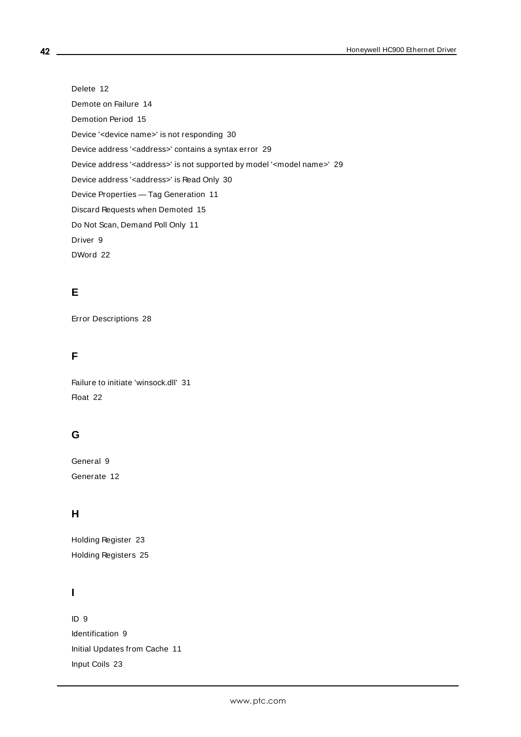Delete [12](#page-11-0) Demote on Failure [14](#page-13-3) Demotion Period [15](#page-14-2) Device '<device name>' is not responding [30](#page-29-3) Device address '<address>' contains a syntax error [29](#page-28-1) Device address '< address>' is not supported by model '< model name>' [29](#page-28-3) Device address '<address>' is Read Only [30](#page-29-0) Device Properties — Tag Generation [11](#page-10-0) Discard Requests when Demoted [15](#page-14-3) Do Not Scan, Demand Poll Only [11](#page-10-1) Driver [9](#page-8-2) DWord [22](#page-21-3)

## **E**

Error Descriptions [28](#page-27-0)

## **F**

Failure to initiate 'winsock.dll' [31](#page-30-1) Float [22](#page-21-4)

## **G**

General [9](#page-8-0) Generate [12](#page-11-1)

## **H**

Holding Register [23](#page-22-3) Holding Registers [25](#page-24-0)

## **I**

ID [9](#page-8-3) Identification [9](#page-8-0) Initial Updates from Cache [11](#page-10-2) Input Coils [23](#page-22-2)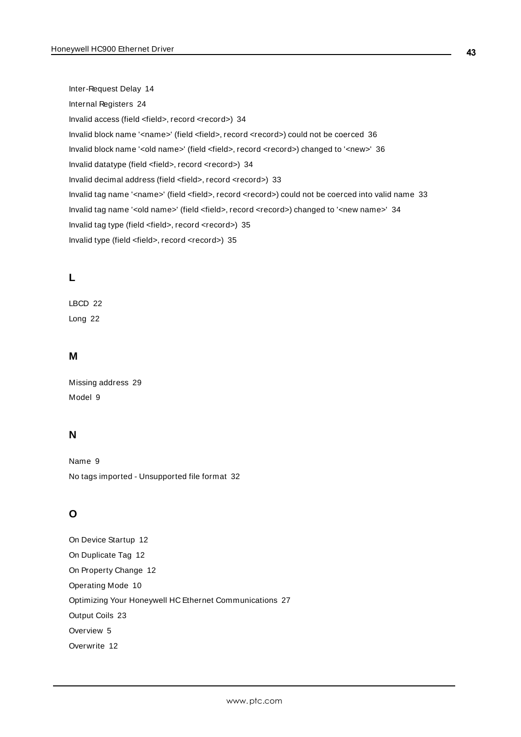Inter-Request Delay [14](#page-13-4) Internal Registers [24](#page-23-0) Invalid access (field <field>, record <record>) [34](#page-33-2) Invalid block name '<name>' (field <field>, record <record>) could not be coerced [36](#page-35-1) Invalid block name '<old name>' (field <field>, record <record>) changed to '<new>' [36](#page-35-2) Invalid datatype (field <field>, record <record>) [34](#page-33-1) Invalid decimal address (field <field>, record <record>) [33](#page-32-1) Invalid tag name '<name>' (field <field>, record <record>) could not be coerced into valid name [33](#page-32-2) Invalid tag name '<old name>' (field <field>, record <record>) changed to '<new name>' [34](#page-33-0) Invalid tag type (field <field>, record <record>) [35](#page-34-1) Invalid type (field <field>, record <record>) [35](#page-34-0)

## **L**

LBCD [22](#page-21-5) Long [22](#page-21-6)

### **M**

Missing address [29](#page-28-0) Model [9](#page-8-4)

## **N**

Name [9](#page-8-5) No tags imported - Unsupported file format [32](#page-31-2)

## **O**

On Device Startup [12](#page-11-2) On Duplicate Tag [12](#page-11-3) On Property Change [12](#page-11-4) Operating Mode [10](#page-9-0) Optimizing Your Honeywell HC Ethernet Communications [27](#page-26-0) Output Coils [23](#page-22-1) Overview [5](#page-4-0) Overwrite [12](#page-11-5)